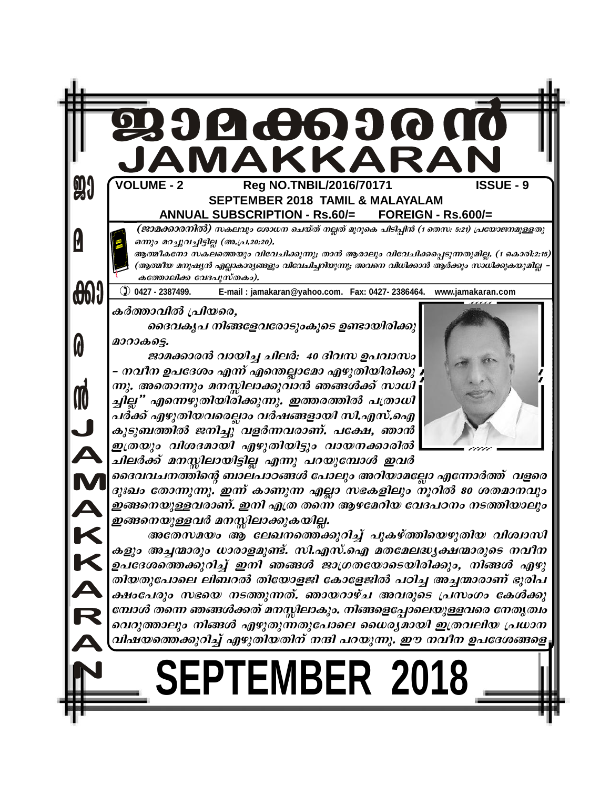| 9          | JAMAKKARAN<br><b>VOLUME - 2</b><br>Reg NO.TNBIL/2016/70171<br><b>ISSUE - 9</b><br><b>SEPTEMBER 2018 TAMIL &amp; MALAYALAM</b><br>ANNUAL SUBSCRIPTION - Rs.60/= FOREIGN - Rs.600/=                                                                                                                                                                                                                                                                                                                                                 |
|------------|-----------------------------------------------------------------------------------------------------------------------------------------------------------------------------------------------------------------------------------------------------------------------------------------------------------------------------------------------------------------------------------------------------------------------------------------------------------------------------------------------------------------------------------|
|            | (ജാമക്കാരനിൽ) സകലവും ശോധന ചെയ്ത് നല്ലത് മുറുകെ പിടിപ്പിൻ (1 തെസ: 5:21) പ്രയോജനമുള്ളതു<br>ഒന്നും മറച്ചുവച്ചിട്ടില്ല (അ.പ്ര.20:20).<br>ആത്മീകനോ സകലത്തെയും വിവേചിക്കുന്നു; താൻ ആരാലും വിവേചിക്കപ്പെടുന്നതുമില്ല. (1 കൊരി:2:15)<br>(ആത്മീയ മനുഷ്യൻ എല്ലാകാര്യങ്ങളും വിവേചിച്ചറിയുന്നു; അവനെ വിധിക്കാൻ ആർക്കും സാധിക്കുകയുമില്ല<br>കത്തോലിക്ക വേദപുസ്തകം).                                                                                                                                                                            |
| <b>001</b> | $100427 - 2387499.$<br>E-mail: jamakaran@yahoo.com. Fax: 0427-2386464.<br>www.jamakaran.com                                                                                                                                                                                                                                                                                                                                                                                                                                       |
|            | കർത്താവിൽ പ്രിയരെ,<br>ദൈവകൃപ നിങ്ങളേവരോടുംകൂടെ ഉണ്ടായിരിക്കു<br>മാറാകട്ടെ.<br>ജാമക്കാരൻ വായിച്ച ചിലർ: 40 ദിവസ ഉപവാസം <br>– നവീന ഉപദേശം എന്ന് എന്തെല്ലാമോ എഴുതിയിരിക്കു                                                                                                                                                                                                                                                                                                                                                            |
|            | ന്നു. അതൊന്നും മനസ്സിലാക്കുവാൻ ഞങ്ങൾക്ക് സാധി<br>ച്ചില്ല" എന്നെഴുതിയിരിക്കുന്നു. ഇത്തരത്തിൽ പത്രാധി<br>പർക്ക് എഴുതിയവരെല്ലാം വർഷങ്ങളായി സി.എസ്.ഐ  <br>കുടുബത്തിൽ ജനിച്ചു വളർന്നവരാണ്. പക്ഷേ, ഞാൻ                                                                                                                                                                                                                                                                                                                                  |
|            | ഇത്രയും വിശദമായി എഴുതിയിട്ടും വായനക്കാരിൽ<br>ചിലർക്ക് മനസ്സിലായിട്ടില്ല എന്നു പറയുമ്പോൾ ഇവർ                                                                                                                                                                                                                                                                                                                                                                                                                                       |
|            | ദൈവവചനത്തിന്റെ ബാലപാഠങ്ങൾ പോലും അറിയാമല്ലോ എന്നോർത്ത്  വളരെ<br>ദുഃഖം തോന്നുന്നു. ഇന്ന് കാണുന്ന എല്ലാ സഭകളിലും നൂറിൽ 80 ശതമാനവും<br>ഇങ്ങനെയുള്ളവരാണ്. ഇനി എത്ര തന്നെ ആഴമേറിയ വേദപഠനം നടത്തിയാലും<br>ഇങ്ങനെയുള്ളവർ മനസ്സിലാക്കുകയില്ല.                                                                                                                                                                                                                                                                                              |
|            | അതേസമയം ആ ലേഖനത്തെക്കുറിച്ച് പുകഴ്ത്തിയെഴുതിയ വിശ്വാസി<br>കളും അച്ചന്മാരും ധാരാളമുണ്ട്. സി.എസ്.ഐ മതമേലദ്ധ്യക്ഷന്മാരുടെ നവീന<br>ഉപദേശത്തെക്കുറിച്ച് ഇനി ഞങ്ങൾ ജാഗ്രതയോടെയിരിക്കും, നിങ്ങൾ എഴു<br>തിയതുപോലെ ലിബറൽ തിയോളജി കോളേജിൽ പഠിച്ച അച്ചന്മാരാണ് ഭൂരിപ<br>ക്ഷാപേരും സഭയെ നടത്തുന്നത്. ഞായറാഴ്ച അവരുടെ പ്രസംഗം കേൾക്കു<br>മ്പോൾ തന്നെ ഞങ്ങൾക്കത് മനസ്സിലാകും. നിങ്ങളെപ്പോലെയുള്ളവരെ നേതൃത്വം<br>വെറുത്താലും നിങ്ങൾ എഴുതുന്നതുപോലെ ധൈര്യമായി ഇത്രവലിയ പ്രധാന<br>വിഷയത്തെക്കുറിച്ച് എഴുതിയതിന് നന്ദി പറയുന്നു. ഈ നവീന ഉപദേശങ്ങളെ, |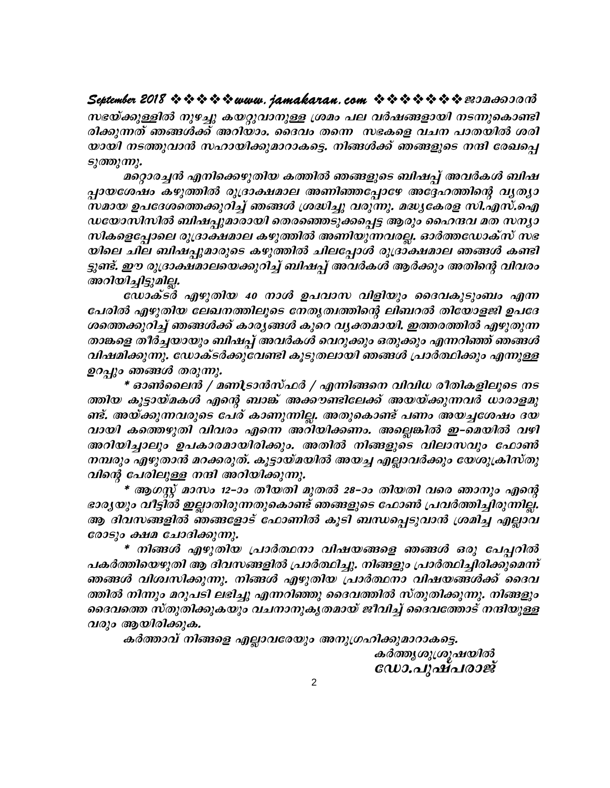### 

സഭയ്ക്കുള്ളിൽ നുഴച്ചു കയറ്റുവാനുള്ള ശ്രമം പല വർഷങ്ങളായി നടന്നുകൊണ്ടി രിക്കുന്നത് ഞങ്ങൾക്ക് അറിയാം. ദൈവം തന്നെ സഭകളെ വചന പാതയിൽ ശരി യായി നടത്തുവാൻ സഹായിക്കുമാറാകട്ടെ. നിങ്ങൾക്ക് ഞങ്ങളുടെ നന്ദി രേഖപെ ടുത്തുന്നു.

മറ്റൊരച്ചൻ എനിക്കെഴുതിയ കത്തിൽ ഞങ്ങളുടെ ബിഷപ്പ് അവർകൾ ബിഷ പ്പായശേഷം കഴുത്തിൽ രൂദ്രാക്ഷമാല അണിഞ്ഞപ്പോഴേ അദ്ദേഹത്തിന്റെ വൃത്യാ സമായ ഉപദേശത്തെക്കുറിച്ച് ഞങ്ങൾ ശ്രദ്ധിച്ചു വരുന്നു. മദ്ധ്യകേരള സി.എസ്.ഐ ഡയോസിസിൽ ബിഷപ്പുമാരായി തെരഞ്ഞെടുക്കപ്പെട്ട ആരും ഹൈന്ദവ മത സന്യാ സികളെപ്പോലെ രുദ്രാക്ഷമാല കഴുത്തിൽ അണിയുന്നവരല്ല. ഓർത്തഡോക്സ് സഭ യിലെ ചില ബിഷപ്പുമാരുടെ കഴുത്തിൽ ചിലപ്പോൾ രൂദ്രാക്ഷമാല ഞങ്ങൾ കണ്ടി ട്ടുണ്ട്. ഈ രുദ്രാക്ഷമാലയെക്കുറിച്ച് ബിഷപ്പ് അവർകൾ ആർക്കും അതിന്റെ വിവരം അറിയിച്ചിട്ടുമില്ല.

ഡോക്ടർ എഴുതിയ 40 നാൾ ഉപവാസ വിളിയും ദൈവകുടുംബം എന്ന പേരിൽ എഴുതിയ ലേഖനത്തിലൂടെ നേതൃത്വത്തിന്റെ ലിബറൽ തിയോളജി ഉപദേ ശത്തെക്കുറിച്ച് ഞങ്ങൾക്ക് കാരൃങ്ങൾ കുറെ വൃക്തമായി. ഇത്തരത്തിൽ എഴുതുന്ന താങ്കളെ തീർച്ചയായും ബിഷപ്പ് അവർകൾ വെറുക്കും ഒതുക്കും എന്നറിഞ്ഞ് ഞങ്ങൾ വിഷമിക്കുന്നു. ഡോക്ടർക്കുവേണ്ടി കൂടുതലായി ഞങ്ങൾ പ്രാർത്ഥിക്കും എന്നുള്ള ഉറപ്പും ഞങ്ങൾ തരുന്നു.

\* ഓൺലൈൻ / മണിടാൻസ്ഫർ / എന്നിങ്ങനെ വിവിധ രീതികളിലൂടെ നട ത്തിയ കൂട്ടായ്മകൾ എന്റെ ബാങ്ക് അക്കൗണ്ടിലേക്ക് അയയ്ക്കുന്നവർ ധാരാളമു ണ്ട്. അയ്ക്കുന്നവരുടെ പേര് കാണുന്നില്ല. അതുകൊണ്ട് പണം അയച്ചശേഷം ദയ വായി കത്തെഴുതി വിവരം എന്നെ അറിയിക്കണം. അല്ലെങ്കിൽ ഇ–മെയിൽ വഴി അറിയിച്ചാലും ഉപകാരമായിരിക്കും. അതിൽ നിങ്ങളുടെ വിലാസവും ഫോൺ നമ്പരും എഴുതാൻ മറക്കരുത്. കൂട്ടായ്മയിൽ അയച്ച എല്ലാവർക്കും യേശുക്രിസ്തു വിന്റെ പേരിലുള്ള നന്ദി അറിയിക്കുന്നു.

\* ആഗസ്റ്റ് മാസം 12–ാം തീയതി മുതൽ 28–ാം തിയതി വരെ ഞാനും എന്റെ ഭാര്യയും വീട്ടിൽ ഇല്ലാതിരുന്നതുകൊണ്ട് ഞങ്ങളുടെ ഫോൺ പ്രവർത്തിച്ചിരുന്നില്ല. ആ ദിവസങ്ങളിൽ ഞങ്ങളോട് ഫോണിൽ കൂടി ബന്ധപ്പെടുവാൻ ശ്രമിച്ച എല്ലാവ രോടും ക്ഷമ ചോദിക്കുന്നു.

\* നിങ്ങൾ എഴുതിയ പ്രാർത്ഥനാ വിഷയങ്ങളെ ഞങ്ങൾ ഒരു പേപ്പറിൽ പകർത്തിയെഴുതി ആ ദിവസങ്ങളിൽ പ്രാർത്ഥിച്ചു. നിങ്ങളും പ്രാർത്ഥിച്ചിരിക്കുമെന്ന് ഞങ്ങൾ വിശ്വസിക്കുന്നു. നിങ്ങൾ എഴുതിയ പ്രാർത്ഥനാ വിഷയങ്ങൾക്ക് ദൈവ ത്തിൽ നിന്നും മറുപടി ലഭിച്ചു എന്നറിഞ്ഞു ദൈവത്തിൽ സ്തുതിക്കുന്നു. നിങ്ങളും ദൈവത്തെ സ്തുതിക്കുകയും വചനാനുകൃതമായ് ജീവിച്ച് ദൈവത്തോട് നന്ദിയുള്ള വരും ആയിരിക്കുക.

കർത്താവ് നിങ്ങളെ എല്ലാവരേയും അനുഗ്രഹിക്കുമാറാകട്ടെ. കർത്തുശുശ്രൂഷയിൽ

 $\mathcal{C}(U)$ .  $\mathcal{C}(U)$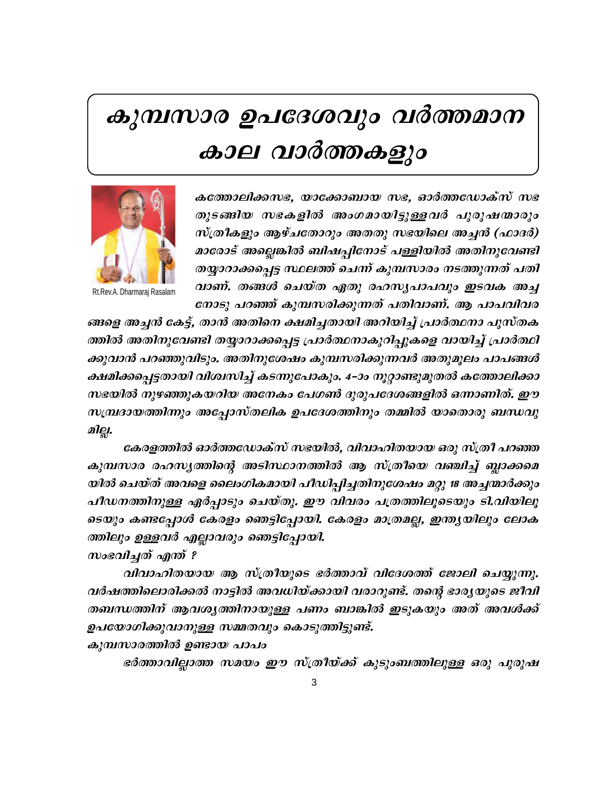# കുമ്പസാര ഉപദേശവും വർത്തമാന കാല വാർത്തകളും



Rt.Rev.A. Dharmaraj Rasalam

കത്തോലിക്കസഭ, യാക്കോബായ സഭ, ഓർത്തഡോക്സ് സഭ തുടങ്ങിയ സഭകളിൽ അംഗമായിട്ടുള്ളവർ പുരുഷന്മാരും സ്ത്രീകളും ആഴ്ചതോറും അതതു സഭയിലെ അച്ചൻ (ഫാദർ) മാരോട് അല്ലെങ്കിൽ ബിഷപ്പിനോട് പള്ളിയിൽ അതിനുവേണ്ടി തയ്യാറാക്കപ്പെട്ട സ്ഥലത്ത് ചെന്ന് കുമ്പസാരം നടത്തുന്നത് പതി വാണ്. തങ്ങൾ ചെയ്ത ഏതു രഹസൃപാപവും ഇടവക അച്ച നോടു പറഞ്ഞ് കുമ്പസരിക്കുന്നത് പതിവാണ്. ആ പാപവിവര

ങ്ങളെ അച്ചൻ കേട്ട്, താൻ അതിനെ ക്ഷമിച്ചതായി അറിയിച്ച് പ്രാർത്ഥനാ പുസ്തക ത്തിൽ അതിനുവേണ്ടി തയ്യാറാക്കപ്പെട്ട പ്രാർത്ഥനാകുറിപ്പുകളെ വായിച്ച് പ്രാർത്ഥി ക്കുവാൻ പറഞ്ഞുവിടും. അതിനുശേഷം കുമ്പസരിക്കുന്നവർ അതുമൂലം പാപങ്ങൾ ക്ഷമിക്കപ്പെട്ടതായി വിശ്വസിച്ച് കടന്നുപോകും. 4–ാം നൂറ്റാണ്ടുമുതൽ കത്തോലിക്കാ സഭയിൽ നുഴഞ്ഞുകയറിയ അനേകം പേഗൺ ദുരുപദേശങ്ങളിൽ ഒന്നാണിത്. ഈ സമ്പ്രദായത്തിന്നും അപ്പോസ്തലിക ഉപദേശത്തിനും തമ്മിൽ യാതൊരു ബന്ധവു മില്ല.

കേരളത്തിൽ ഓർത്തഡോക്സ് സഭയിൽ, വിവാഹിതയായ ഒരു സ്ത്രീ പറഞ്ഞ കുമ്പസാര രഹസൃത്തിന്റെ അടിസ്ഥാനത്തിൽ ആ സ്ത്രീയെ വഞ്ചിച്ച് ബ്ലാക്കമെ യിൽ ചെയ്ത് അവളെ ലൈംഗികമായി പീഡിപ്പിച്ചതിനുശേഷം മറ്റു 18 അച്ചന്മാർക്കും പീഡനത്തിനുള്ള ഏർപ്പാടും ചെയ്തു. ഈ വിവരം പത്രത്തിലൂടെയും ടി.വിയിലൂ ടെയും കണ്ടപ്പോൾ കേരളം ഞെട്ടിപ്പോയി. കേരളം മാത്രമല്ല, ഇന്ത്യയിലും ലോക ത്തിലും ഉള്ളവർ എല്ലാവരും ഞെട്ടിപ്പോയി.

സംഭവിച്ചത് എന്ത് ?

വിവാഹിതയായ ആ സ്ത്രീയുടെ ഭർത്താവ് വിദേശത്ത് ജോലി ചെയ്യുന്നു. വർഷത്തിലൊരിക്കൽ നാട്ടിൽ അവധിയ്ക്കായി വരാറുണ്ട്. തന്റെ ഭാരൃയുടെ ജീവി തബന്ധത്തിന് ആവശൃത്തിനായുള്ള പണം ബാങ്കിൽ ഇടുകയും അത് അവൾക്ക് ഉപയോഗിക്കുവാനുള്ള സമ്മതവും കൊടുത്തിട്ടുണ്ട്.

കുമ്പസാരത്തിൽ ഉണ്ടായ പാപം

ഭർത്താവില്ലാത്ത സമയം ഈ സ്ത്രീയ്ക്ക് കുടുംബത്തിലുള്ള ഒരു പുരുഷ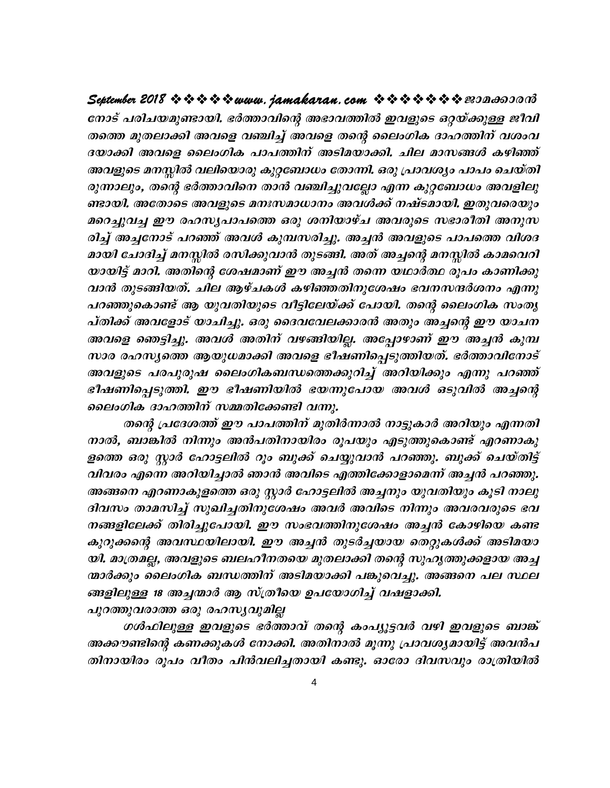### September 2018  $\rightsquigarrow \rightsquigarrow \rightsquigarrow \rightsquigarrow www.$  jamakaran.com  $\rightsquigarrow \rightsquigarrow \rightsquigarrow \rightsquigarrow \rightsquigarrow \rightsquigarrow \infty$

നോട് പരിചയമുണ്ടായി. ഭർത്താവിന്റെ അഭാവത്തിൽ ഇവളുടെ ഒറ്റയ്ക്കുള്ള ജീവി തത്തെ മുതലാക്കി അവളെ വഞ്ചിച്ച് അവളെ തന്റെ ലൈംഗിക ദാഹത്തിന് വശംവ ദയാക്കി അവളെ ലൈംഗിക പാപത്തിന് അടിമയാക്കി. ചില മാസങ്ങൾ കഴിഞ്ഞ് അവളുടെ മനസ്സിൽ വലിയൊരു കുറ്റബോധം തോന്നി. ഒരു പ്രാവശ്യം പാപം ചെയ്തി രുന്നാലും, തന്റെ ഭർത്താവിനെ താൻ വഞ്ചിച്ചുവല്ലോ എന്ന കുറ്റബോധം അവളിലു ണ്ടായി. അതോടെ അവളുടെ മനഃസമാധാനം അവൾക്ക് നഷ്ടമായി. ഇതുവരെയും മറെച്ചുവച്ച ഈ രഹസൃപാപത്തെ ഒരു ശനിയാഴ്ച അവരുടെ സഭാരീതി അനുസ രിച്ച് അച്ചനോട് പറഞ്ഞ് അവൾ കുമ്പസരിച്ചു. അച്ചൻ അവളുടെ പാപത്തെ വിശദ മായി ചോദിച്ച് മനസ്സിൽ രസിക്കുവാൻ തുടങ്ങി. അത് അച്ചന്റെ മനസ്സിൽ കാമവെറി യായിട്ട് മാറി. അതിന്റെ ശേഷമാണ് ഈ അച്ചൻ തന്നെ യഥാർത്ഥ രൂപം കാണിക്കു വാൻ തുടങ്ങിയത്. ചില ആഴ്ചകൾ കഴിഞ്ഞതിനുശേഷം ഭവനസന്ദർശനം എന്നു പറഞ്ഞുകൊണ്ട് ആ യുവതിയുടെ വീട്ടിലേയ്ക്ക് പോയി. തന്റെ ലൈംഗിക സംതൃ പ്തിക്ക് അവളോട് യാചിച്ചു. ഒരു ദൈവവേലക്കാരൻ അതും അച്ചന്റെ ഈ യാചന അവളെ ഞെട്ടിച്ചു. അവൾ അതിന് വഴങ്ങിയില്ല. അപ്പോഴാണ് ഈ അച്ചൻ കുമ്പ സാര രഹസ്യത്തെ ആയുധമാക്കി അവളെ ഭീഷണിപ്പെടുത്തിയത്. ഭർത്താവിനോട് അവളുടെ പരപുരുഷ ലൈംഗികബന്ധത്തെക്കുറിച്ച് അറിയിക്കും എന്നു പറഞ്ഞ് ഭീഷണിപ്പെടുത്തി. ഈ ഭീഷണിയിൽ ഭയന്നുപോയ അവൾ ഒടുവിൽ അച്ചന്റെ ലൈംഗിക ദാഹത്തിന് സമ്മതിക്കേണ്ടി വന്നു.

തന്റെ പ്രദേശത്ത് ഈ പാപത്തിന് മുതിർന്നാൽ നാട്ടുകാർ അറിയും എന്നതി നാൽ, ബാങ്കിൽ നിന്നും അൻപതിനായിരം രൂപയും എടുത്തുകൊണ്ട് എറണാകു ളത്തെ ഒരു സ്റ്റാർ ഹോട്ടലിൽ റൂം ബുക്ക് ചെയ്യുവാൻ പറഞ്ഞു. ബുക്ക് ചെയ്തിട്ട് വിവരം എന്നെ അറിയിച്ചാൽ ഞാൻ അവിടെ എത്തിക്കോളാമെന്ന് അച്ചൻ പറഞ്ഞു. അങ്ങനെ എറണാകുളത്തെ ഒരു സ്റ്റാർ ഹോട്ടലിൽ അച്ചനും യുവതിയും കൂടി നാലു ദിവസം താമസിച്ച് സുഖിച്ചതിനുശേഷം അവർ അവിടെ നിന്നും അവരവരുടെ ഭവ നങ്ങളിലേക്ക് തിരിച്ചുപോയി. ഈ സംഭവത്തിനുശേഷം അച്ചൻ കോഴിയെ കണ്ട കുറുക്കന്റെ അവസ്ഥയിലായി. ഈ അച്ചൻ തുടർച്ചയായ തെറ്റുകൾക്ക് അടിമയാ യി. മാത്രമല്ല, അവളുടെ ബലഹീനതയെ മുതലാക്കി തന്റെ സുഹൃത്തുക്കളായ അച്ച ന്മാർക്കും ലൈംഗിക ബന്ധത്തിന് അടിമയാക്കി പങ്കുവെച്ചു. അങ്ങനെ പല സ്ഥല ങ്ങളിലുള്ള 18 അച്ചന്മാർ ആ സ്ത്രീയെ ഉപയോഗിച്ച് വഷളാക്കി.

പുറത്തുവരാത്ത ഒരു രഹസ്യവുമില്ല

ഗൾഫിലുള്ള ഇവളുടെ ഭർത്താവ് തന്റെ കംപ്യൂട്ടവർ വഴി ഇവളുടെ ബാങ്ക് അക്കൗണ്ടിന്റെ കണക്കുകൾ നോക്കി. അതിനാൽ മൂന്നു പ്രാവശ്യമായിട്ട് അവൻപ തിനായിരം രൂപം വീതം പിൻവലിച്ചതായി കണ്ടു. ഓരോ ദിവസവും രാത്രിയിൽ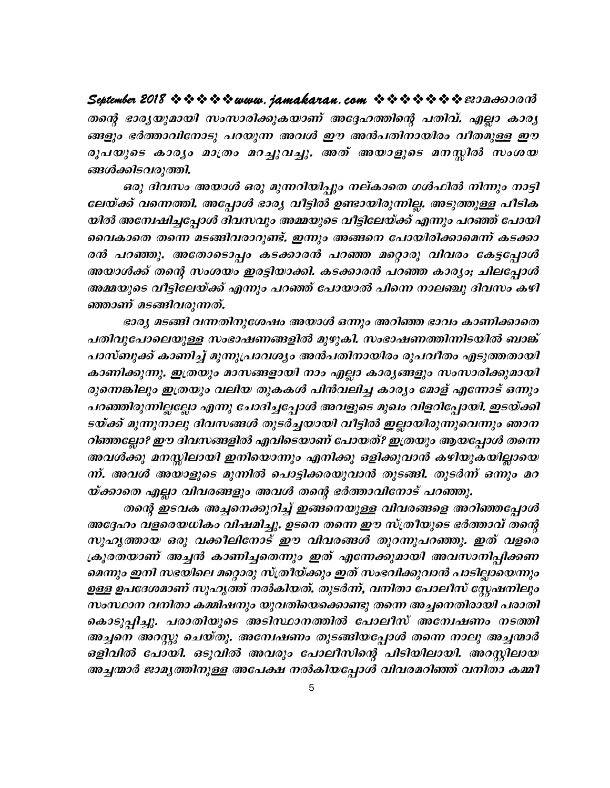# September 2018 \* \* \* \* \* www. jamakaran.com \* \* \* \* \* \* \* \* 20000000

തന്റെ ഭാരൃയുമായി സംസാരിക്കുകയാണ് അദ്ദേഹത്തിന്റെ പതിവ്. എല്ലാ കാരൃ ങ്ങളും ഭർത്താവിനോടു പറയുന്ന അവൾ ഈ അൻപതിനായിരം വീതമുള്ള ഈ രൂപയുടെ കാര്യം മാത്രം മറച്ചുവച്ചു. അത് അയാളുടെ മനസ്സിൽ സംശയ ങ്ങൾക്കിടവരുത്തി.

ഒരു ദിവസം അയാൾ ഒരു മുന്നറിയിപ്പും നല്കാതെ ഗൾഫിൽ നിന്നും നാട്ടി ലേയ്ക്ക് വന്നെത്തി. അപ്പോൾ ഭാര്യ വീട്ടിൽ ഉണ്ടായിരുന്നില്ല. അടുത്തുള്ള പീടിക യിൽ അന്വേഷിച്ചപ്പോൾ ദിവസവും അമ്മയുടെ വീട്ടിലേയ്ക്ക് എന്നും പറഞ്ഞ് പോയി വൈകാതെ തന്നെ മടങ്ങിവരാറുണ്ട്. ഇന്നും അങ്ങനെ പോയിരിക്കാമെന്ന് കടക്കാ രൻ പറഞ്ഞു. അതോടൊപ്പം കടക്കാരൻ പറഞ്ഞ മറ്റൊരു വിവരം കേട്ടപ്പോൾ അയാൾക്ക് തന്റെ സംശയം ഇരട്ടിയാക്കി. കടക്കാരൻ പറഞ്ഞ കാര്യം; ചിലപ്പോൾ അമ്മയുടെ വീട്ടിലേയ്ക്ക് എന്നും പറഞ്ഞ് പോയാൽ പിന്നെ നാലഞ്ചു ദിവസം കഴി ഞ്ഞാണ് മടങ്ങിവരുന്നത്.

ഭാര്യ മടങ്ങി വന്നതിനുശേഷം അയാൾ ഒന്നും അറിഞ്ഞ ഭാവം കാണിക്കാതെ പതിവുപോലെയുള്ള സംഭാഷണങ്ങളിൽ മുഴുകി. സംഭാഷണത്തിന്നിടയിൽ ബാങ്ക് പാസ്ബുക്ക് കാണിച്ച് മൂന്നുപ്രാവശ്യം അൻപതിനായിരം രൂപവീതം എടുത്തതായി കാണിക്കുന്നു. ഇത്രയും മാസങ്ങളായി നാം എല്ലാ കാര്യങ്ങളും സംസാരിക്കുമായി രുന്നെങ്കിലും ഇത്രയും വലിയ തുകകൾ പിൻവലിച്ച കാര്യം മോള് എന്നോട് ഒന്നും പറഞ്ഞിരുന്നില്ലല്ലോ എന്നു ചോദിച്ചപ്പോൾ അവളുടെ മുഖം വിളറിപ്പോയി. ഇടയ്ക്കി ടയ്ക്ക് മൂന്നുനാലു ദിവസങ്ങൾ തുടർച്ചയായി വീട്ടിൽ ഇല്ലായിരുന്നുവെന്നും ഞാന റിഞ്ഞല്ലോ? ഈ ദിവസങ്ങളിൽ എവിടെയാണ് പോയത്? ഇത്രയും ആയപ്പോൾ തന്നെ അവൾക്കു മനസ്സിലായി ഇനിയൊന്നും എനിക്കു ഒളിക്കുവാൻ കഴിയുകയില്ലായെ ന്ന്. അവൾ അയാളുടെ മുന്നിൽ പൊട്ടിക്കരയുവാൻ തുടങ്ങി. തുടർന്ന് ഒന്നും മറ യ്ക്കാതെ എല്ലാ വിവരങ്ങളും അവൾ തന്റെ ഭർത്താവിനോട് പറഞ്ഞു.

തന്റെ ഇടവക അച്ചനെക്കുറിച്ച് ഇങ്ങനെയുള്ള വിവരങ്ങളെ അറിഞ്ഞപ്പോൾ അദ്ദേഹം വളരെയധികം വിഷമിച്ചു. ഉടനെ തന്നെ ഈ സ്ത്രീയുടെ ഭർത്താവ് തന്റെ സുഹൃത്തായ ഒരു വക്കിലിനോട് ഈ വിവരങ്ങൾ തുറന്നുപറഞ്ഞു. ഇത് വളരെ ക്രൂരതയാണ് അച്ചൻ കാണിച്ചതെന്നും ഇത് എന്നേക്കുമായി അവസാനിപ്പിക്കണ മെന്നും ഇനി സഭയിലെ മറ്റൊരു സ്ത്രീയ്ക്കും ഇത് സംഭവിക്കുവാൻ പാടില്ലായെന്നും ഉള്ള ഉപദേശമാണ് സുഹൃത്ത് നൽകിയത്. തുടർന്ന്, വനിതാ പോലീസ് സ്റ്റേഷനിലും സംസ്ഥാന വനിതാ കമ്മിഷനും യുവതിയെക്കൊണ്ടു തന്നെ അച്ചനെതിരായി പരാതി കൊടുപ്പിച്ചു. പരാതിയുടെ അടിസ്ഥാനത്തിൽ പോലീസ് അമ്പേഷണം നടത്തി അച്ചനെ അറസ്റ്റു ചെയ്തു. അന്വേഷണം തുടങ്ങിയപ്പോൾ തന്നെ നാലു അച്ചന്മാർ ഒളിവിൽ പോയി. ഒടുവിൽ അവരും പോലീസിന്റെ പിടിയിലായി. അറസ്റ്റിലായ അച്ചന്മാർ ജാമൃത്തിനുള്ള അപേക്ഷ നൽകിയപ്പോൾ വിവരമറിഞ്ഞ് വനിതാ കമ്മീ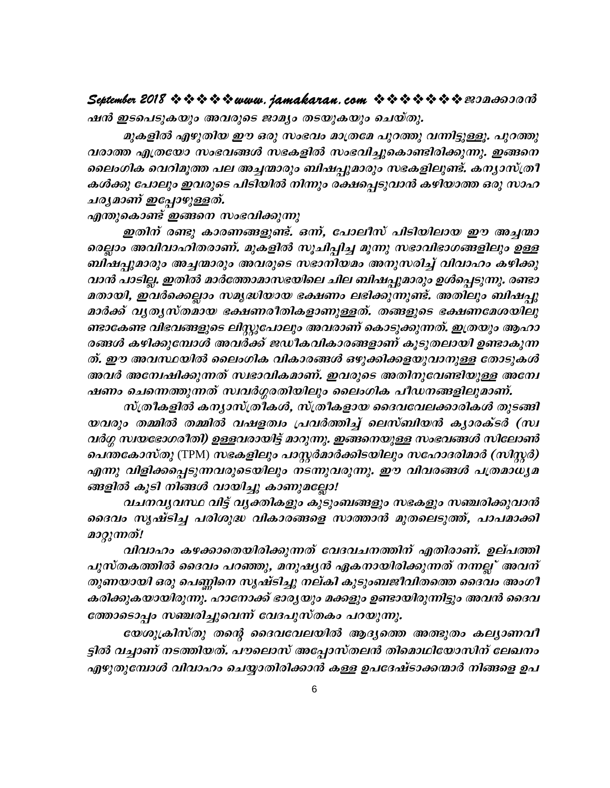### 

ഷൻ ഇടപെടുകയും അവരുടെ ജാമ്യം തടയുകയും ചെയ്തു.

മുകളിൽ എഴുതിയ ഈ ഒരു സംഭവം മാത്രമേ പുറത്തു വന്നിട്ടുള്ളൂ. പുറത്തു വരാത്ത എത്രയോ സംഭവങ്ങൾ സഭകളിൽ സംഭവിച്ചുകൊണ്ടിരിക്കുന്നു. ഇങ്ങനെ ലൈംഗിക വെറിമൂത്ത പല അച്ചന്മാരും ബിഷപ്പുമാരും സഭകളിലുണ്ട്. കന്യാസ്ത്രീ കൾക്കു പോലും ഇവരുടെ പിടിയിൽ നിന്നും രക്ഷപ്പെടുവാൻ കഴിയാത്ത ഒരു സാഹ ചര്യമാണ് ഇപ്പോഴുള്ളത്.

എന്തുകൊണ്ട് ഇങ്ങനെ സംഭവിക്കുന്നു

ഇതിന് രണ്ടു കാരണങ്ങളുണ്ട്. ഒന്ന, പോലീസ് പിടിയിലായ ഈ അച്ചന്മാ രെല്ലാം അവിവാഹിതരാണ്. മുകളിൽ സൂചിപ്പിച്ച മൂന്നു സഭാവിഭാഗങ്ങളിലും ഉള്ള ബിഷപ്പുമാരും അച്ചന്മാരും അവരുടെ സഭാനിയമം അനുസരിച്ച് വിവാഹം കഴിക്കു വാൻ പാടില്ല. ഇതിൽ മാർത്തോമാസഭയിലെ ചില ബിഷപ്പുമാരും ഉൾപ്പെടുന്നു. രണ്ടാ മതായി, ഇവർക്കെല്ലാം സമൃദ്ധിയായ ഭക്ഷണം ലഭിക്കുന്നുണ്ട്. അതിലും ബിഷപ്പു മാർക്ക് വൃതൃസ്തമായ ഭക്ഷണരീതികളാണുള്ളത്. തങ്ങളുടെ ഭക്ഷണമേശയിലു ണ്ടാകേണ്ട വിഭവങ്ങളുടെ ലിസ്റ്റുപോലും അവരാണ് കൊടുക്കുന്നത്. ഇത്രയും ആഹാ രങ്ങൾ കഴിക്കുമ്പോൾ അവർക്ക് ജഡീകവികാരങ്ങളാണ് കൂടുതലായി ഉണ്ടാകുന്ന ത്. ഈ അവസ്ഥയിൽ ലൈംഗിക വികാരങ്ങൾ ഒഴുക്കിക്കളയുവാനുള്ള തോടുകൾ അവർ അന്വേഷിക്കുന്നത് സ്വഭാവികമാണ്. ഇവരുടെ അതിനുവേണ്ടിയുള്ള അന്വേ ഷണം ചെന്നെത്തുന്നത് സ്ഥർഗ്ഗരതിയിലും ലൈംഗിക പീഡനങ്ങളിലുമാണ്.

സ്ത്രീകളിൽ കന്യാസ്ത്രീകൾ, സ്ത്രീകളായ ദൈവവേലക്കാരികൾ തുടങ്ങി യവരും തമ്മിൽ തമ്മിൽ വഷളത്വം പ്രവർത്തിച്ച് ലെസ്ബിയൻ കൃാരക്ടർ (സ്വ വർഗ്ഗ സ്ഥയഭോഗരീതി) ഉള്ളവരായിട്ട് മാറുന്നു. ഇങ്ങനെയുള്ള സംഭവങ്ങൾ സിലോൺ ചെന്തകോസ്തു (TPM) സഭകളിലും പാസ്റ്റർമാർക്കിടയിലും സഹോദരിമാർ (സിസ്റ്റർ) എന്നു വിളിക്കപ്പെടുന്നവരുടെയിലും നടന്നുവരുന്നു. ഈ വിവരങ്ങൾ പത്രമാധ്യമ ങ്ങളിൽ കൂടി നിങ്ങൾ വായിച്ചു കാണുമല്ലോ!

വചനവൃവസ്ഥ വിട്ട് വൃക്തികളും കുടുംബങ്ങളും സഭകളും സഞ്ചരിക്കുവാൻ ദൈവം സൃഷ്ടിച്ച പരിശുദ്ധ വികാരങ്ങളെ സാത്താൻ മുതലെടുത്ത്, പാപമാക്കി മാറ്റുന്നത്!

വിവാഹം കഴക്കാതെയിരിക്കുന്നത് വേദവചനത്തിന് എതിരാണ്. ഉല്പത്തി പുസ്തകത്തിൽ ദൈവം പറഞ്ഞു, മനുഷ്യൻ ഏകനായിരിക്കുന്നത് നന്നല്ല് അവന് തുണയായി ഒരു പെണ്ണിനെ സൃഷ്ടിച്ചു നല്കി കുടുംബജീവിതത്തെ ദൈവം അംഗീ കരിക്കുകയായിരുന്നു. ഹാനോക്ക് ഭാര്യയും മക്കളും ഉണ്ടായിരുന്നിട്ടും അവൻ ദൈവ ത്തോടൊപ്പം സഞ്ചരിച്ചുവെന്ന് വേദപുസ്തകം പറയുന്നു.

യേശുക്രിസ്തു തന്റെ ദൈവവേലയിൽ ആദ്യത്തെ അത്ഭുതം കല്യാണവീ ട്ടിൽ വച്ചാണ് നടത്തിയത്. പൗലൊസ് അപ്പോസ്തലൻ തിമൊഥിയോസിന് ലേഖനം എഴുതുമ്പോൾ വിവാഹം ചെയ്യാതിരിക്കാൻ കള്ള ഉപദേഷ്ടാക്കന്മാർ നിങ്ങളെ ഉപ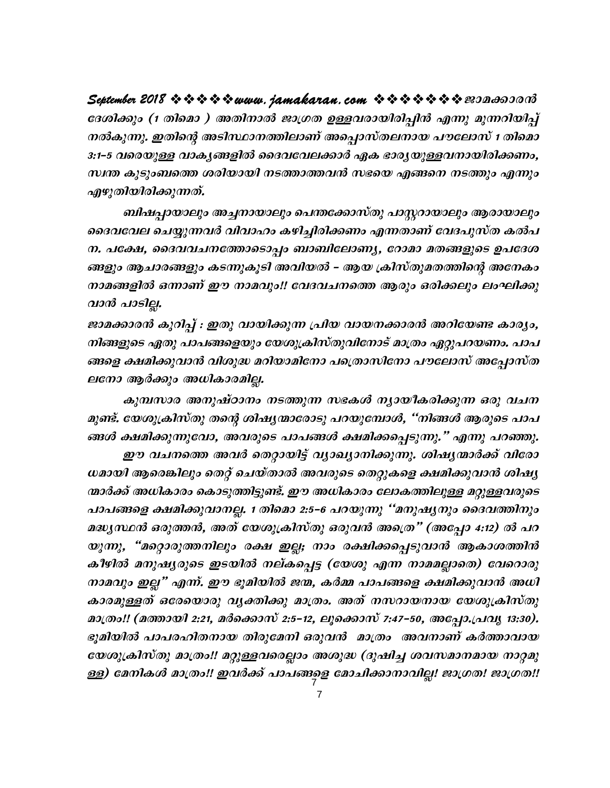ദേശിക്കും (1 തിമൊ ) അതിനാൽ ജാഗ്രത ഉള്ളവരായിരിപ്പിൻ എന്നു മുന്നറിയിപ്പ് നൽകുന്നു. ഇതിന്റെ അടിസ്ഥാനത്തിലാണ് അപ്പൊസ്തലനായ പൗലോസ് 1 തിമൊ 3:1–5 വരെയുള്ള വാകൃങ്ങളിൽ ദൈവവേലക്കാർ ഏക ഭാരൃയുള്ളവനായിരിക്കണം, സ്വന്ത കുടുംബത്തെ ശരിയായി നടത്താത്തവൻ സഭയെ എങ്ങനെ നടത്തും എന്നും എഴുതിയിരിക്കുന്നത്.

ബിഷപ്പായാലും അച്ചനായാലും പെന്തക്കോസ്തു പാസ്റ്ററായാലും ആരായാലും ദൈവവേല ചെയ്യുന്നവർ വിവാഹം കഴിച്ചിരിക്കണം എന്നതാണ് വേദപുസ്ത കൽപ ന. പക്ഷേ, ദൈവവചനത്തോടൊപ്പം ബാബിലോണ്യ, റോമാ മതങ്ങളുടെ ഉപദേശ ങ്ങളും ആചാരങ്ങളും കടന്നുകൂടി അവിയൽ – ആയ ക്രിസ്തുമതത്തിന്റെ അനേകം നാമങ്ങളിൽ ഒന്നാണ് ഈ നാമവും!! വേദവചനത്തെ ആരും ഒരിക്കലും ലംഘിക്കു വാൻ പാടില്ല.

ജാമക്കാരൻ കുറിപ്പ് : ഇതു വായിക്കുന്ന പ്രിയ വായനക്കാരൻ അറിയേണ്ട കാര്യം, നിങ്ങളുടെ ഏതു പാപങ്ങളെയും യേശുക്രിസ്തുവിനോട് മാത്രം ഏറ്റുപറയണം. പാപ ങ്ങളെ ക്ഷമിക്കുവാൻ വിശുദ്ധ മറിയാമിനോ പത്രൊസിനോ പൗലോസ് അപ്പോസ്ത ലനോ ആർക്കും അധികാരമില്ല.

കുമ്പസാര അനുഷ്ഠാനം നടത്തുന്ന സഭകൾ ന്യായീകരിക്കുന്ന ഒരു വചന മുണ്ട്. യേശുക്രിസ്തു തന്റെ ശിഷ്യന്മാരോടു പറയുമ്പോൾ, "നിങ്ങൾ ആരുടെ പാപ ങ്ങൾ ക്ഷമിക്കുന്നുവോ, അവരുടെ പാപങ്ങൾ ക്ഷമിക്കപ്പെടുന്നു." എന്നു പറഞ്ഞു. ഈ വചനത്തെ അവർ തെറ്റായിട്ട് വ്യാഖ്യാനിക്കുന്നു. ശിഷ്യന്മാർക്ക് വിരോ ധമായി ആരെങ്കിലും തെറ്റ് ചെയ്താൽ അവരുടെ തെറ്റുകളെ ക്ഷമിക്കുവാൻ ശിഷ്യ ന്മാർക്ക് അധികാരം കൊടുത്തിട്ടുണ്ട്. ഈ അധികാരം ലോകത്തിലുള്ള മറ്റുള്ളവരുടെ പാപങ്ങളെ ക്ഷമിക്കുവാനല്ല. 1 തിമൊ 2:5–6 പറയുന്നു ''മനുഷ്യനും ദൈവത്തിനും മദ്ധ്യസ്ഥൻ ഒരുത്തൻ, അത് യേശുക്രിസ്തു ഒരുവൻ അത്രെ" (അപ്പോ 4:12) ൽ പറ യുന്നു, "മറ്റൊരുത്തനിലും രക്ഷ ഇല്ല; നാം രക്ഷിക്കപ്പെടുവാൻ ആകാശത്തിൻ കീഴിൽ മനുഷ്യരുടെ ഇടയിൽ നല്കപ്പെട്ട (യേശു എന്ന നാമമല്ലാതെ) വേറൊരു നാമവും ഇല്ല" എന്ന്. ഈ ഭൂമിയിൽ ജന്മ, കർമ്മ പാപങ്ങളെ ക്ഷമിക്കുവാൻ അധി കാരമുള്ളത് ഒരേയൊരു വൃക്തിക്കു മാത്രം. അത് നസറായനായ യേശുക്രിസ്തു മാത്രം!! (മത്തായി 2:21, മർക്കൊസ് 2:5-12, ലൂക്കൊസ് 7:47-50, അപ്പോ.പ്രവൃ 13:30). ഭൂമിയിൽ പാപരഹിതനായ തിരുമേനി ഒരുവൻ മാത്രം അവനാണ് കർത്താവായ യേശുക്രിസ്തു മാത്രം!! മറ്റുള്ളവരെല്ലാം അശുദ്ധ (ദുഷിച്ച ശവസമാനമായ നാറ്റമു ള്ള) മേനികൾ മാത്രം!! ഇവർക്ക് പാപങ്ങളെ മോചിക്കാനാവില്ല! ജാഗ്രത! ജാഗ്രത!!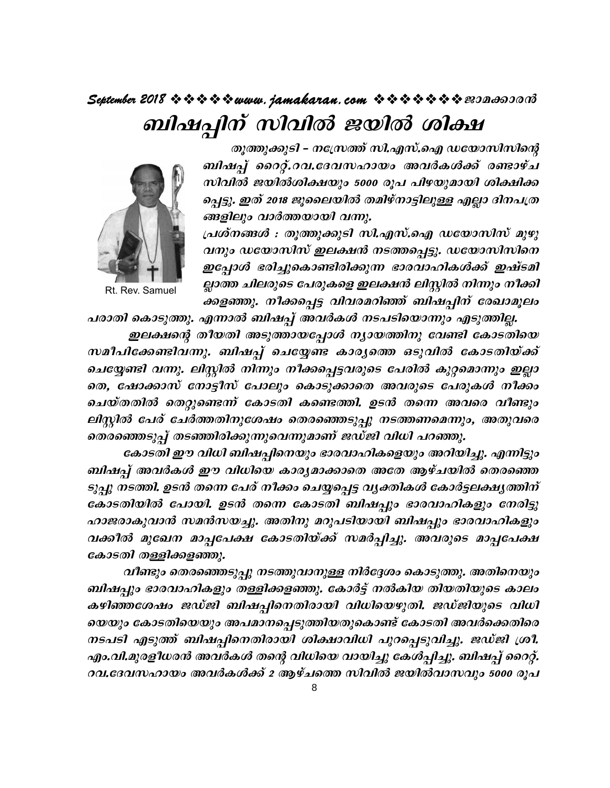# September 2018  $\rightsquigarrow \rightsquigarrow \rightsquigarrow \rightsquigarrow www.$  jamakaran.com  $\rightsquigarrow \rightsquigarrow \rightsquigarrow \rightsquigarrow \rightsquigarrow z$ ബിഷപ്പിന് സിവിൽ ജയിൽ ശിക്ഷ



Rt. Rev. Samuel

തൂത്തുക്കുടി - നസ്ത്രേത്ത് സി.എസ്.ഐ ഡയോസിസിന്റെ ബിഷപ്പ് റൈറ്റ്.റവ.ദേവസഹായം അവർകൾക്ക് രണ്ടാഴ്ച സിവിൽ ജയിൽശിക്ഷയും 5000 രൂപ പിഴയുമായി ശിക്ഷിക്ക പ്പെട്ടു. ഇത് 2018 ജൂലൈയിൽ തമിഴ്നാട്ടിലുള്ള എല്ലാ ദിനപത്ര ങ്ങളിലും വാർത്തയായി വന്നു.

പ്രശ്നങ്ങൾ : തൂത്തുക്കുടി സി.എസ്.ഐ ഡയോസിസ് മുഴു വനും ഡയോസിസ് ഇലക്ഷൻ നടത്തപ്പെട്ടു. ഡയോസിസിനെ ഇപ്പോൾ ഭരിച്ചുകൊണ്ടിരിക്കുന്ന ഭാരവാഹികൾക്ക് ഇഷ്ടമി ല്ലാത്ത ചിലരുടെ പേരുകളെ ഇലക്ഷൻ ലിസ്റ്റിൽ നിന്നും നീക്കി ക്കളഞ്ഞു. നീക്കപ്പെട്ട വിവരമറിഞ്ഞ് ബിഷപ്പിന് രേഖാമൂലം

പരാതി കൊടുത്തു. എന്നാൽ ബിഷപ്പ് അവർകൾ നടപടിയൊന്നും എടുത്തില്ല. ഇലക്ഷന്റെ തീയതി അടുത്തായപ്പോൾ ന്യായത്തിനു വേണ്ടി കോടതിയെ

സമീപിക്കേണ്ടിവന്നു. ബിഷപ്പ് ചെയ്യേണ്ട കാര്യത്തെ ഒടുവിൽ കോടതിയ്ക്ക് ചെയ്യേണ്ടി വന്നു. ലിസ്റ്റിൽ നിന്നും നീക്കപ്പെട്ടവരുടെ പേരിൽ കുറ്റമൊന്നും ഇല്ലാ തെ, ഷോക്കാസ് നോട്ടീസ് പോലും കൊടുക്കാതെ അവരുടെ പേരുകൾ നീക്കം ചെയ്തതിൽ തെറ്റുണ്ടെന്ന് കോടതി കണ്ടെത്തി. ഉടൻ തന്നെ അവരെ വീണ്ടും ലിസ്റ്റിൽ പേര് ചേർത്തതിനുശേഷം തെരഞ്ഞെടുപ്പു നടത്തണമെന്നും, അതുവരെ തെരഞ്ഞെടുപ്പ് തടഞ്ഞിരിക്കുന്നുവെന്നുമാണ് ജഡ്ജി വിധി പറഞ്ഞു.

കോടതി ഈ വിധി ബിഷപ്പിനെയും ഭാരവാഹികളെയും അറിയിച്ചു. എന്നിട്ടും ബിഷപ്പ് അവർകൾ ഈ വിധിയെ കാര്യമാക്കാതെ അതേ ആഴ്ചയിൽ തെരഞ്ഞെ ടുപ്പു നടത്തി. ഉടൻ തന്നെ പേര് നീക്കം ചെയ്യപ്പെട്ട വ്യക്തികൾ കോർട്ടലക്ഷൃത്തിന് കോടതിയിൽ പോയി. ഉടൻ തന്നെ കോടതി ബിഷപ്പും ഭാരവാഹികളും നേരിട്ടു ഹാജരാകുവാൻ സമൻസയച്ചു. അതിനു മറുപടിയായി ബിഷപ്പും ഭാരവാഹികളും വക്കീൽ മുഖേന മാപ്പപേക്ഷ കോടതിയ്ക്ക് സമർപ്പിച്ചു. അവരുടെ മാപ്പപേക്ഷ കോടതി തള്ളിക്കളഞ്ഞു.

വീണ്ടും തെരഞ്ഞെടുപ്പു നടത്തുവാനുള്ള നിർദ്ദേശം കൊടുത്തു. അതിനെയും ബിഷപ്പും ഭാരവാഹികളും തള്ളിക്കളഞ്ഞു. കോർട്ട് നൽകിയ തിയതിയുടെ കാലം കഴിഞ്ഞശേഷം ജഡ്ജി ബിഷപ്പിനെതിരായി വിധിയെഴുതി. ജഡ്ജിയുടെ വിധി യെയും കോടതിയെയും അപമാനപ്പെടുത്തിയതുകൊണ്ട് കോടതി അവർക്കെതിരെ നടപടി എടുത്ത് ബിഷപ്പിനെതിരായി ശിക്ഷാവിധി പുറപ്പെടുവിച്ചു. ജഡ്ജി ശ്രീ. എം.വി.മുരളീധരൻ അവർകൾ തന്റെ വിധിയെ വായിച്ചു കേൾപ്പിച്ചു. ബിഷപ്പ് റൈറ്റ്. റവ.ദേവസഹായം അവർകൾക്ക് 2 ആഴ്ചത്തെ സിവിൽ ജയിൽവാസവും 5000 രൂപ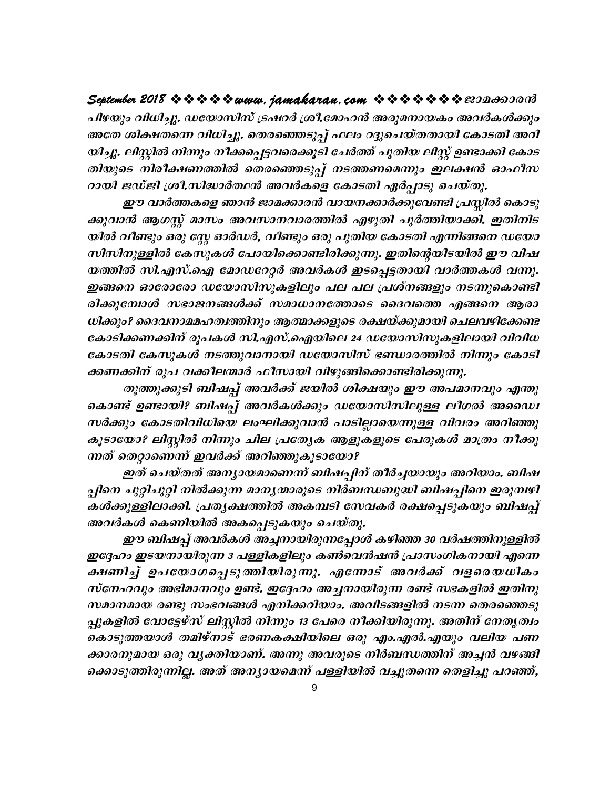September 2018 \* \* \* \* \* www. jamakaran.com \* \* \* \* \* \* \* \* 20000000 പിഴയും വിധിച്ചു. ഡയോസിസ് ട്രഷറർ ശ്രീ.മോഹൻ അരുമനായകം അവർകൾക്കും അതേ ശിക്ഷതന്നെ വിധിച്ചു. തെരഞ്ഞെടുപ്പ് ഫലം റദ്ദുചെയ്തതായി കോടതി അറി യിച്ചു. ലിസ്റ്റിൽ നിന്നും നീക്കപ്പെട്ടവരെക്കൂടി ചേർത്ത് പുതിയ ലിസ്റ്റ് ഉണ്ടാക്കി കോട തിയുടെ നിരീക്ഷണത്തിൽ തെരഞ്ഞെടുപ്പ് നടത്തണമെന്നും ഇലക്ഷൻ ഓഫീസ റായി ജഡ്ജി ശ്രീ.സിദ്ധാർത്ഥൻ അവർകളെ കോടതി ഏർപ്പാടു ചെയ്തു.

ഈ വാർത്തകളെ ഞാൻ ജാമക്കാരൻ വായനക്കാർക്കുവേണ്ടി പ്രസ്കിൽ കൊടു ക്കുവാൻ ആഗസ്റ്റ് മാസം അവസാനവാരത്തിൽ എഴുതി പൂർത്തിയാക്കി. ഇതിനിട യിൽ വീണ്ടും ഒരു സ്റ്റേ ഓർഡർ, വീണ്ടും ഒരു പുതിയ കോടതി എന്നിങ്ങനെ ഡയോ സിസിനുള്ളിൽ കേസുകൾ പോയിക്കൊണ്ടിരിക്കുന്നു. ഇതിന്റെയിടയിൽ ഈ വിഷ യത്തിൽ സി.എസ്.ഐ മോഡറേറ്റർ അവർകൾ ഇടപ്പെട്ടതായി വാർത്തകൾ വന്നു. ഇങ്ങനെ ഓരോരോ ഡയോസിസുകളിലും പല പല പ്രശ്നങ്ങളും നടന്നുകൊണ്ടി രിക്കുമ്പോൾ സഭാജനങ്ങൾക്ക് സമാധാനത്തോടെ ദൈവത്തെ എങ്ങനെ ആരാ ധിക്കും? ദൈവനാമമഹത്വത്തിനും ആത്മാക്കളുടെ രക്ഷയ്ക്കുമായി ചെലവഴിക്കേണ്ട കോടിക്കണക്കിന് രൂപകൾ സി.എസ്.ഐയിലെ 24 ഡയോസിസുകളിലായി വിവിധ കോടതി കേസുകൾ നടത്തുവാനായി ഡയോസിസ് ഭണ്ഡാരത്തിൽ നിന്നും കോടി ക്കണക്കിന് രൂപ വക്കീലന്മാർ ഫീസായി വിഴുങ്ങിക്കൊണ്ടിരിക്കുന്നു.

തുത്തുക്കുടി ബിഷപ്പ് അവർക്ക് ജയിൽ ശിക്ഷയും ഈ അപമാനവും എന്തു കൊണ്ട് ഉണ്ടായി? ബിഷപ്പ് അവർകൾക്കും ഡയോസിസിലുള്ള ലീഗൽ അഡൈ സർക്കും കോടതിവിധിയെ ലംഘിക്കുവാൻ പാടില്ലായെന്നുള്ള വിവരം അറിഞ്ഞു കൂടായോ? ലിസ്റ്റിൽ നിന്നും ചില പ്രത്യേക ആളുകളുടെ പേരുകൾ മാത്രം നീക്കു ന്നത് തെറ്റാണെന്ന് ഇവർക്ക് അറിഞ്ഞുകൂടായോ?

ഇത് ചെയ്തത് അന്യായമാണെന്ന് ബിഷപ്പിന് തീർച്ചയായും അറിയാം. ബിഷ പ്പിനെ ചുറ്റിചുറ്റി നിൽക്കുന്ന മാനൃന്മാരുടെ നിർബന്ധബുദ്ധി ബിഷപ്പിനെ ഇരുമ്പഴി കൾക്കുള്ളിലാക്കി. പ്രതൃക്ഷത്തിൽ അകമ്പടി സേവകർ രക്ഷപ്പെടുകയും ബിഷപ്പ് അവർകൾ കെണിയിൽ അകപ്പെടുകയും ചെയ്തു.

ഈ ബിഷപ്പ് അവർകൾ അച്ചനായിരുന്നപ്പോൾ കഴിഞ്ഞ 30 വർഷത്തിനുള്ളിൽ ഇദ്ദേഹം ഇടയനായിരുന്ന 3 പള്ളികളിലും കൺവെൻഷൻ പ്രാസംഗികനായി എന്നെ ക്ഷണിച്ച് ഉപയോഗപ്പെടുത്തിയിരുന്നു. എന്നോട് അവർക്ക് വളരെയധികം സ്നേഹവും അഭിമാനവും ഉണ്ട്. ഇദ്ദേഹം അച്ചനായിരുന്ന രണ്ട് സഭകളിൽ ഇതിനു സമാനമായ രണ്ടു സംഭവങ്ങൾ എനിക്കറിയാം. അവിടങ്ങളിൽ നടന്ന തെരഞ്ഞെടു പ്പുകളിൽ വോട്ടേഴ്സ് ലിസ്റ്റിൽ നിന്നും 13 പേരെ നീക്കിയിരുന്നു. അതിന് നേതൃത്വം കൊടുത്തയാൾ തമിഴ്നാട് ഭരണകക്ഷിയിലെ ഒരു എം.എൽ.എയും വലിയ പണ ക്കാരനുമായ ഒരു വൃക്തിയാണ്. അന്നു അവരുടെ നിർബന്ധത്തിന് അച്ചൻ വഴങ്ങി ക്കൊടുത്തിരുന്നില്ല. അത് അന്യായമെന്ന് പള്ളിയിൽ വച്ചുതന്നെ തെളിച്ചു പറഞ്ഞ്,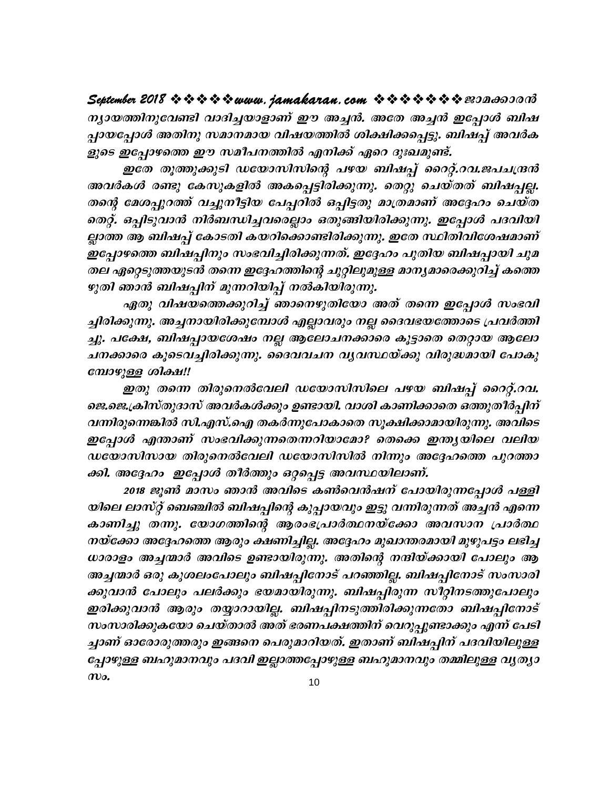ന്യായത്തിനുവേണ്ടി വാദിച്ചയാളാണ് ഈ അച്ചൻ. അതേ അച്ചൻ ഇപ്പോൾ ബിഷ പ്പായപ്പോൾ അതിനു സമാനമായ വിഷയത്തിൽ ശിക്ഷിക്കപ്പെട്ടു. ബിഷപ്പ് അവർക ളുടെ ഇപ്പോഴത്തെ ഈ സമീപനത്തിൽ എനിക്ക് ഏറെ ദുഃഖമുണ്ട്.

ഇതേ തൂത്തുക്കുടി ഡയോസിസിന്റെ പഴയ ബിഷപ്പ് റൈറ്റ്.റവ.ജപചന്ദ്രൻ അവർകൾ രണ്ടു കേസുകളിൽ അകപ്പെട്ടിരിക്കുന്നു. തെറ്റു ചെയ്തത് ബിഷപ്പല്ല. തന്റെ മേശപ്പുറത്ത് വച്ചുനീട്ടിയ പേപ്പറിൽ ഒപ്പിട്ടതു മാത്രമാണ് അദ്ദേഹം ചെയ്ത തെറ്റ്. ഒപ്പിടുവാൻ നിർബന്ധിച്ചവരെല്ലാം ഒതുങ്ങിയിരിക്കുന്നു. ഇപ്പോൾ പദവിയി ല്ലാത്ത ആ ബിഷപ്പ് കോടതി കയറിക്കൊണ്ടിരിക്കുന്നു. ഇതേ സ്ഥിതിവിശേഷമാണ് ഇപ്പോഴത്തെ ബിഷപ്പിനും സംഭവിച്ചിരിക്കുന്നത്. ഇദ്ദേഹം പുതിയ ബിഷപ്പായി ചുമ തല ഏറ്റെടുത്തയുടൻ തന്നെ ഇദ്ദേഹത്തിന്റെ ചുറ്റിലുമുള്ള മാന്യമാരെക്കുറിച്ച് കത്തെ ഴുതി ഞാൻ ബിഷപ്പിന് മുന്നറിയിപ്പ് നൽകിയിരുന്നു.

ഏതു വിഷയത്തെക്കുറിച്ച് ഞാനെഴുതിയോ അത് തന്നെ ഇപ്പോൾ സംഭവി ച്ചിരിക്കുന്നു. അച്ചനായിരിക്കുമ്പോൾ എല്ലാവരും നല്ല ദൈവഭയത്തോടെ പ്രവർത്തി ച്ചു. പക്ഷേ, ബിഷപ്പായശേഷം നല്ല ആലോചനക്കാരെ കൂട്ടാതെ തെറ്റായ ആലോ ചനക്കാരെ കൂടെവച്ചിരിക്കുന്നു. ദൈവവചന വൃവസ്ഥയ്ക്കു വിരുദ്ധമായി പോകു മ്പോഴുള്ള ശിക്ഷ!!

ഇതു തന്നെ തിരുനെൽവേലി ഡയോസിസിലെ പഴയ ബിഷപ്പ് റൈറ്റ്.റവ. ജെ.ജെ.ക്രിസ്തുദാസ് അവർകൾക്കും ഉണ്ടായി. വാശി കാണിക്കാതെ ഒത്തുതീർപ്പിന് വന്നിരുന്നെങ്കിൽ സി.എസ്.ഐ തകർന്നുപോകാതെ സൂക്ഷിക്കാമായിരുന്നു. അവിടെ ഇപ്പോൾ എന്താണ് സംഭവിക്കുന്നതെന്നറിയാമോ? തെക്കെ ഇന്ത്യയിലെ വലിയ ഡയോസിസായ തിരുനെൽവേലി ഡയോസിസിൽ നിന്നും അദ്ദേഹത്തെ പുറത്താ ക്കി. അദ്ദേഹം ഇപ്പോൾ തീർത്തും ഒറ്റപ്പെട്ട അവസ്ഥയിലാണ്.

2018 ജൂൺ മാസം ഞാൻ അവിടെ കൺവെൻഷന് പോയിരുന്നപ്പോൾ പള്ളി യിലെ ലാസ്റ്റ് ബെഞ്ചിൽ ബിഷപ്പിന്റെ കുപ്പായവും ഇട്ടു വന്നിരുന്നത് അച്ചൻ എന്നെ കാണിച്ചു തന്നു. യോഗത്തിന്റെ ആരംഭപ്രാർത്ഥനയ്ക്കോ അവസാന പ്രാർത്ഥ നയ്ക്കോ അദ്ദേഹത്തെ ആരും ക്ഷണിച്ചില്ല. അദ്ദേഹം മുഖാന്തരമായി മുഴുപട്ടം ലഭിച്ച ധാരാളം അച്ചന്മാർ അവിടെ ഉണ്ടായിരുന്നു. അതിന്റെ നന്ദിയ്ക്കായി പോലും ആ അച്ചന്മാർ ഒരു കുശലംപോലും ബിഷപ്പിനോട് പറഞ്ഞില്ല. ബിഷപ്പിനോട് സംസാരി ക്കുവാൻ പോലും പലർക്കും ഭയമായിരുന്നു. ബിഷപ്പിരുന്ന സീറ്റിനടത്തുപോലും ഇരിക്കുവാൻ ആരും തയ്യാറായില്ല. ബിഷപ്പിനടുത്തിരിക്കുന്നതോ ബിഷപ്പിനോട് സംസാരിക്കുകയോ ചെയ്താൽ അത് ഭരണപക്ഷത്തിന് വെറുപ്പുണ്ടാക്കും എന്ന് പേടി ച്ചാണ് ഓരോരുത്തരും ഇങ്ങനെ പെരുമാറിയത്. ഇതാണ് ബിഷപ്പിന് പദവിയിലുള്ള പ്പോഴുള്ള ബഹുമാനവും പദവി ഇല്ലാത്തപ്പോഴുള്ള ബഹുമാനവും തമ്മിലുള്ള വൃത്യാ  $\boldsymbol{\mathcal{w}}$ o.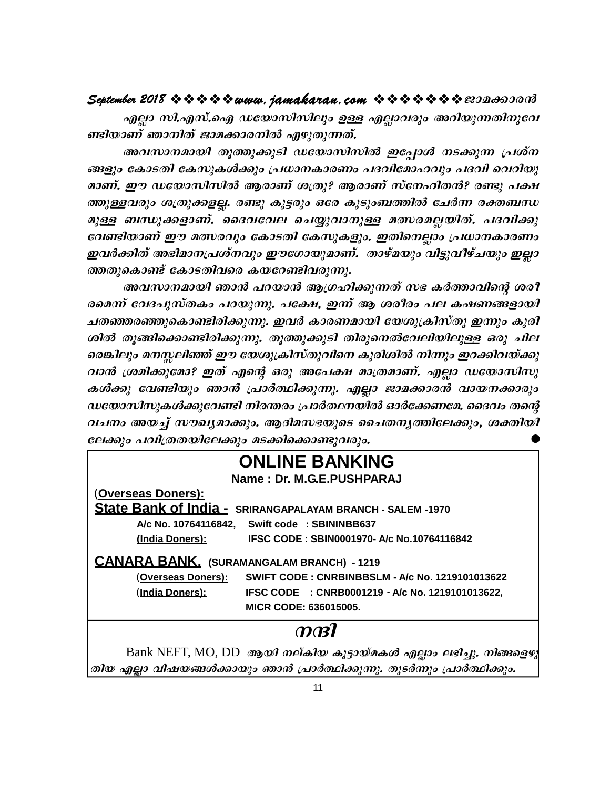### September 2018  $\rightsquigarrow \rightsquigarrow \rightsquigarrow \rightsquigarrow www.$  jamakaran.com  $\rightsquigarrow \rightsquigarrow \rightsquigarrow \rightsquigarrow \rightsquigarrow \rightsquigarrow \infty$

എല്ലാ സി.എസ്.ഐ ഡയോസിസിലും ഉള്ള എല്ലാവരും അറിയുന്നതിനുവേ ണ്ടിയാണ് ഞാനിത് ജാമക്കാരനിൽ എഴുതുന്നത്.

അവസാനമായി തുത്തുക്കുടി ഡയോസിസിൽ ഇപ്പോൾ നടക്കുന്ന പ്രശ്ന ങ്ങളും കോടതി കേസുകൾക്കും പ്രധാനകാരണം പദവിമോഹവും പദവി വെറിയു മാണ്. ഈ ഡയോസിസിൽ ആരാണ് ശത്രു? ആരാണ് സ്നേഹിതൻ? രണ്ടു പക്ഷ ത്തുള്ളവരും ശത്രുക്കളല്ല. രണ്ടു കൂട്ടരും ഒരേ കുടുംബത്തിൽ ചേർന്ന രക്തബന്ധ മുള്ള ബന്ധുക്കളാണ്. ദൈവവേല ചെയ്യുവാനുള്ള മത്സരമല്ലയിത്. പദവിക്കു വേണ്ടിയാണ് ഈ മത്സരവും കോടതി കേസുകളും. ഇതിനെല്ലാം പ്രധാനകാരണം ഇവർക്കിത് അഭിമാനപ്രശ്നവും ഈഗോയുമാണ്. താഴ്മയും വിട്ടുവീഴ്ചയും ഇല്ലാ ത്തതുകൊണ്ട് കോടതിവരെ കയറേണ്ടിവരുന്നു.

അവസാനമായി ഞാൻ പറയാൻ ആഗ്രഹിക്കുന്നത് സഭ കർത്താവിന്റെ ശരീ രമെന്ന് വേദപുസ്തകം പറയുന്നു. പക്ഷേ, ഇന്ന് ആ ശരീരം പല കഷണങ്ങളായി ചതഞ്ഞരഞ്ഞുകൊണ്ടിരിക്കുന്നു. ഇവർ കാരണമായി യേശുക്രിസ്തു ഇന്നും കുരി ശിൽ തുങ്ങിക്കൊണ്ടിരിക്കുന്നു. തുത്തുക്കുടി തിരുനെൽവേലിയിലുള്ള ഒരു ചില രെങ്കിലും മനസ്സലിഞ്ഞ് ഈ യേശുക്രിസ്തുവിനെ കുരിശിൽ നിന്നും ഇറക്കിവയ്ക്കു വാൻ ശ്രമിക്കുമോ? ഇത് എന്റെ ഒരു അപേക്ഷ മാത്രമാണ്. എല്ലാ ഡയോസിസു കൾക്കു വേണ്ടിയും ഞാൻ പ്രാർത്ഥിക്കുന്നു. എല്ലാ ജാമക്കാരൻ വായനക്കാരും ഡയോസിസുകൾക്കുവേണ്ടി നിരന്തരം പ്രാർത്ഥനയിൽ ഓർക്കേണമേ. ദൈവം തന്റെ വചനം അയച്ച് സൗഖ്യമാക്കും. ആദിമസഭയുടെ ചൈതനൃത്തിലേക്കും, ശക്തിയി ലേക്കും പവിത്രതയിലേക്കും മടക്കിക്കൊണ്ടുവരും.

# **ONLINE BANKING**

Name: Dr. M.G.E.PUSHPARAJ

(Overseas Doners):

**State Bank of India - SRIRANGAPALAYAM BRANCH - SALEM -1970** 

A/c No. 10764116842, Swift code: SBININBB637 IFSC CODE: SBIN0001970- A/c No.10764116842 (India Doners):

### **CANARA BANK. (SURAMANGALAM BRANCH) - 1219**

(Overseas Doners): SWIFT CODE: CNRBINBBSLM - A/c No. 1219101013622 IFSC CODE : CNRB0001219 - A/c No. 1219101013622, (India Doners): MICR CODE: 636015005.

### $\boldsymbol{m}$

 $Bank$  NEFT, MO, DD ആയി നല്കിയ കൂട്ടായ്മകൾ എല്ലാം ലഭിച്ചു. നിങ്ങളെഴു തിയ എല്ലാ വിഷയങ്ങൾക്കായും ഞാൻ പ്രാർത്ഥിക്കുന്നു. തുടർന്നും പ്രാർത്ഥിക്കും.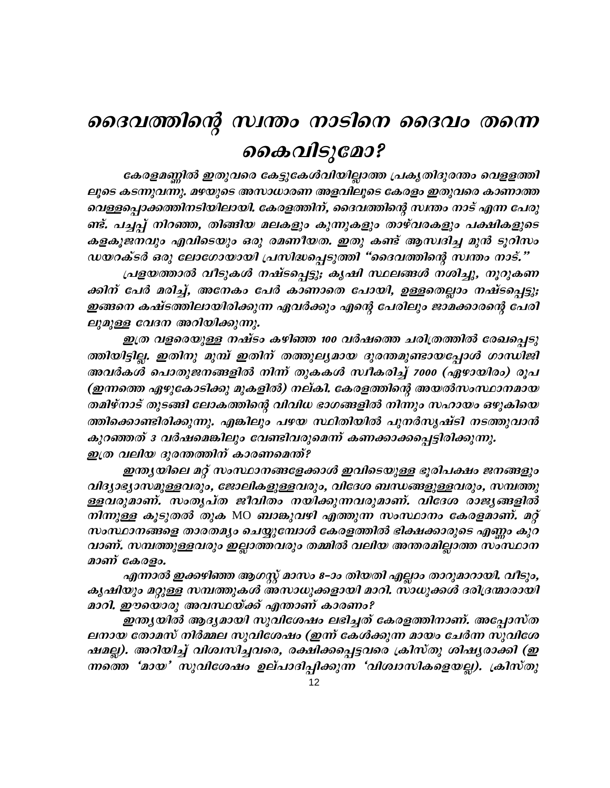# ദൈവത്തിന്റെ സ്ഥതം നാടിനെ ദൈവം തന്നെ കൈവിടുമോ?

കേരളമണ്ണിൽ ഇതുവരെ കേട്ടുകേൾവിയില്ലാത്ത പ്രകൃതിദുരന്തം വെളളത്തി ലൂടെ കടന്നുവന്നു. മഴയുടെ അസാധാരണ അളവിലൂടെ കേരളം ഇതുവരെ കാണാത്ത വെള്ളപ്പൊക്കത്തിനടിയിലായി. കേരളത്തിന്, ദൈവത്തിന്റെ സ്ഥതം നാട് എന്ന പേരു ണ്ട്. പച്ചപ്പ് നിറഞ്ഞ, തിങ്ങിയ മലകളും കുന്നുകളും താഴ്വരകളും പക്ഷികളുടെ കളകൂജനവും എവിടെയും ഒരു രമണീയത. ഇതു കണ്ട് ആസദിച്ച മുൻ ടൂറിസം ഡയറക്ടർ ഒരു ലോഗോയായി പ്രസിദ്ധപ്പെടുത്തി "ദൈവത്തിന്റെ സ്ഥതം നാട്."

പ്രളയത്താൽ വീടുകൾ നഷ്ടപ്പെട്ടു; കൃഷി സ്ഥലങ്ങൾ നശിച്ചു, നൂറുകണ ക്കിന് പേർ മരിച്ച്, അനേകം പേർ കാണാതെ പോയി, ഉള്ളതെല്ലാം നഷ്ടപ്പെട്ടു; ഇങ്ങനെ കഷ്ടത്തിലായിരിക്കുന്ന ഏവർക്കും എന്റെ പേരിലും ജാമക്കാരന്റെ പേരി ലുമുള്ള വേദന അറിയിക്കുന്നു.

ഇത്ര വളരെയുള്ള നഷ്ടം കഴിഞ്ഞ 100 വർഷത്തെ ചരിത്രത്തിൽ രേഖപ്പെടു ത്തിയിട്ടില്ല. ഇതിനു മുമ്പ് ഇതിന് തത്തുല്യമായ ദുരന്തമുണ്ടായപ്പോൾ ഗാന്ധിജി അവർകൾ പൊതുജനങ്ങളിൽ നിന്ന് തുകകൾ സ്ഥികരിച്ച് 7000 (ഏഴായിരം) രൂപ (ഇന്നത്തെ ഏഴുകോടിക്കു മുകളിൽ) നല്കി. കേരളത്തിന്റെ അയൽസംസ്ഥാനമായ തമിഴ്നാട് തുടങ്ങി ലോകത്തിന്റെ വിവിധ ഭാഗങ്ങളിൽ നിന്നും സഹായം ഒഴുകിയെ ത്തിക്കൊണ്ടിരിക്കുന്നു. എങ്കിലും പഴയ സ്ഥിതിയിൽ പുനർസൃഷ്ടി നടത്തുവാൻ കുറഞ്ഞത് ദ വർഷമെങ്കിലും വേണ്ടിവരുമെന്ന് കണക്കാക്കപ്പെട്ടിരിക്കുന്നു. ഇത്ര വലിയ ദുരന്തത്തിന് കാരണമെന്ത്?

ഇന്ത്യയിലെ മറ്റ് സംസ്ഥാനങ്ങളേക്കാൾ ഇവിടെയുള്ള ഭൂരിപക്ഷം ജനങ്ങളും വിദ്യാഭ്യാസമുള്ളവരും, ജോലികളുള്ളവരും, വിദേശ ബന്ധങ്ങളുള്ളവരും, സമ്പത്തു ള്ളവരുമാണ്. സംതൃപ്ത ജീവിതം നയിക്കുന്നവരുമാണ്. വിദേശ രാജ്യങ്ങളിൽ *നിന്നുള്ള കൂടുതൽ തുക* MO *ബാങ്കുവഴി എത്തുന്ന സംസ്ഥാനം കേരളമാണ്. മറ്റ്* സംസ്ഥാനങ്ങളെ താരതമ്യം ചെയ്യുമ്പോൾ കേരളത്തിൽ ഭിക്ഷക്കാരുടെ എണ്ണം കുറ വാണ്. സമ്പത്തുള്ളവരും ഇല്ലാത്തവരും തമ്മിൽ വലിയ അന്തരമില്ലാത്ത സാസ്ഥാന മാണ് കേരളം.

എന്നാൽ ഇക്കഴിഞ്ഞ ആഗസ്റ്റ് മാസം 8–ാം തിയതി എല്ലാം താറുമാറായി. വീടും, കൃഷിയും മറ്റുള്ള സമ്പത്തുകൾ അസാധുക്കളായി മാറി. സാധുക്കൾ ദരിദ്രന്മാരായി മാറി. ഈയൊരു അവസ്ഥയ്ക്ക് എന്താണ് കാരണം?

ഇന്ത്യയിൽ ആദ്യമായി സുവിശേഷം ലഭിച്ചത് കേരളത്തിനാണ്. അപ്പോസ്ത ലനായ തോമസ് നിർമ്മല സുവിശേഷം (ഇന്ന് കേൾക്കുന്ന മായം ചേർന്ന സുവിശേ ഷമല്ല). അറിയിച്ച് വിശ്വസിച്ചവരെ, രക്ഷിക്കപ്പെട്ടവരെ ക്രിസ്തു ശിഷ്യരാക്കി (ഇ ന്നതെ 'മായ' സുവിശേഷം ഉല്പാദിപ്പിക്കുന്ന 'വിശ്വാസികളെയല്ല). ക്രിസ്തു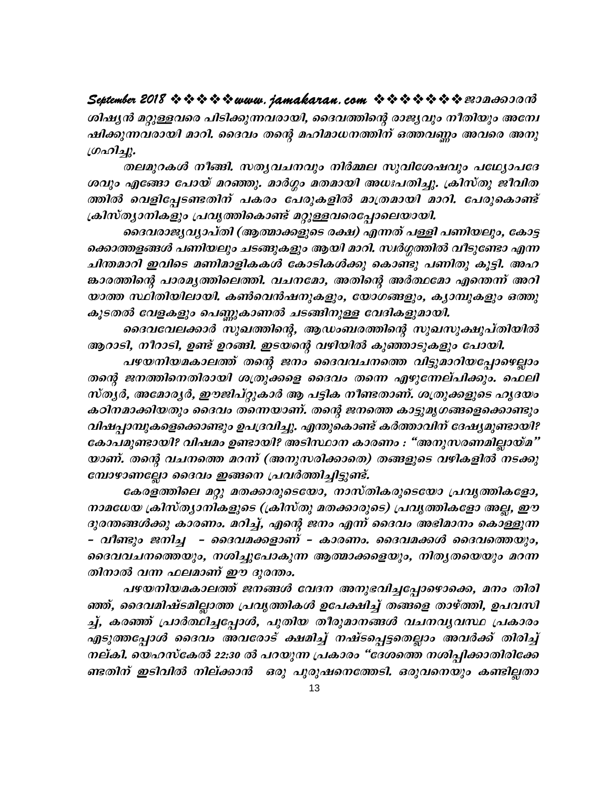September 2018  $\rightsquigarrow \rightsquigarrow \rightsquigarrow \rightsquigarrow www.$  jamakaran.com  $\rightsquigarrow \rightsquigarrow \rightsquigarrow \rightsquigarrow \rightsquigarrow \rightsquigarrow \infty$ 

ശിഷൃൻ മറ്റുള്ളവരെ പിടിക്കുന്നവരായി, ദൈവത്തിന്റെ രാജ്യവും നീതിയും അന്വേ ഷിക്കുന്നവരായി മാറി. ദൈവം തന്റെ മഹിമാധനത്തിന് ഒത്തവണ്ണം അവരെ അനു ഗ്രഹിച്ചു.

തലമുറകൾ നീങ്ങി. സതൃവചനവും നിർമ്മല സുവിശേഷവും പഥ്യോപദേ ശവും എങ്ങോ പോയ് മറഞ്ഞു. മാർഗ്ഗം മതമായി അധഃപതിച്ചു. ക്രിസ്തു ജീവിത ത്തിൽ വെളിപ്പേടണ്ടതിന് പകരം പേരുകളിൽ മാത്രമായി മാറി. പേരുകൊണ്ട് ക്രിസ്ത്യാനികളും പ്രവൃത്തികൊണ്ട് മറ്റുള്ളവരെപ്പോലെയായി.

ദൈവരാജ്യവ്യാപ്തി (ആത്മാക്കളുടെ രക്ഷ) എന്നത് പള്ളി പണിയലും, കോട്ട ക്കൊത്തളങ്ങൾ പണിയലും ചടങ്ങുകളും ആയി മാറി. സ്ഥർഗ്ഗത്തിൽ വീടുണ്ടോ എന്ന ചിന്തമാറി ഇവിടെ മണിമാളികകൾ കോടികൾക്കു കൊണ്ടു പണിതു കൂട്ടി. അഹ ങ്കാരത്തിന്റെ പാരമൃത്തിലെത്തി. വചനമോ, അതിന്റെ അർത്ഥമോ എന്തെന്ന് അറി യാത്ത സ്ഥിതിയിലായി. കൺവെൻഷനുകളും, യോഗങ്ങളും, കൃാമ്പുകളും ഒത്തു കൂടതൽ വേളകളും പെണ്ണുകാണൽ ചടങ്ങിനുള്ള വേദികളുമായി.

ദൈവവേലക്കാർ സുഖത്തിന്റെ, ആഡംബരത്തിന്റെ സുഖസുക്ഷുപ്തിയിൽ ആറാടി, നീറാടി, ഉണ്ട് ഉറങ്ങി. ഇടയന്റെ വഴിയിൽ കുഞ്ഞാടുകളും പോയി.

പഴയനിയമകാലത്ത് തന്റെ ജനം ദൈവവചനത്തെ വിട്ടുമാറിയപ്പോഴെല്ലാം തന്റെ ജനത്തിനെതിരായി ശത്രുക്കളെ ദൈവം തന്നെ എഴുന്നേല്പിക്കും. ഫെലി സ്തൃർ, അമോരൃർ, ഈജിപ്റ്റുകാർ ആ പട്ടിക നീണ്ടതാണ്. ശത്രുക്കളുടെ ഹൃദയം കഠിനമാക്കിയതും ദൈവം തന്നെയാണ്. തന്റെ ജനത്തെ കാട്ടുമൃഗങ്ങളെക്കൊണ്ടും വിഷപ്പാമ്പുകളെക്കൊണ്ടും ഉപദ്രവിച്ചു. എന്തുകൊണ്ട് കർത്താവിന് ദേഷ്യമുണ്ടായി? കോപമുണ്ടായി? വിഷമം ഉണ്ടായി? അടിസ്ഥാന കാരണം : "അനുസരണമില്ലായ്മ" യാണ്. തന്റെ വചനത്തെ മറന്ന് (അനുസരിക്കാതെ) തങ്ങളുടെ വഴികളിൽ നടക്കു മ്പോഴാണല്ലോ ദൈവം ഇങ്ങനെ പ്രവർത്തിച്ചിട്ടുണ്ട്.

കേരളത്തിലെ മറ്റു മതക്കാരുടെയോ, നാസ്തികരുടെയോ പ്രവൃത്തികളോ, നാമധേയ ക്രിസ്ത്യാനികളുടെ (ക്രിസ്തു മതക്കാരുടെ) പ്രവൃത്തികളോ അല്ല, ഈ ദുരന്തങ്ങൾക്കു കാരണം. മറിച്ച്, എന്റെ ജനം എന്ന് ദൈവം അഭിമാനം കൊള്ളുന്ന – വീണ്ടും ജനിച്ച – ദൈവമക്കളാണ് – കാരണം. ദൈവമക്കൾ ദൈവത്തെയും, ദൈവവചനത്തെയും, നശിച്ചുപോകുന്ന ആത്മാക്കളെയും, നിതൃതയെയും മറന്ന തിനാൽ വന്ന ഫലമാണ് ഈ ദുരന്തം.

പഴയനിയമകാലത്ത് ജനങ്ങൾ വേദന അനുഭവിച്ചപ്പോഴൊക്കെ, മനം തിരി ഞ്ഞ്, ദൈവമിഷ്ടമില്ലാത്ത പ്രവൃത്തികൾ ഉപേക്ഷിച്ച് തങ്ങളെ താഴ്ത്തി, ഉപവസി ച്ച്, കരഞ്ഞ് പ്രാർത്ഥിച്ചപ്പോൾ, പുതിയ തീരുമാനങ്ങൾ വചനവൃവസ്ഥ പ്രകാരം എടുത്തപ്പോൾ ദൈവം അവരോട് ക്ഷമിച്ച് നഷ്ടപ്പെട്ടതെല്ലാം അവർക്ക് തിരിച്ച് നല്കി. യെഹസ്കേൽ 22:30 ൽ പറയുന്ന പ്രകാരം "ദേശത്തെ നശിപ്പിക്കാതിരിക്കേ ണ്ടതിന് ഇടിവിൽ നില്ക്കാൻ ഒരു പുരുഷനെത്തേടി. ഒരുവനെയും കണ്ടില്ലതാ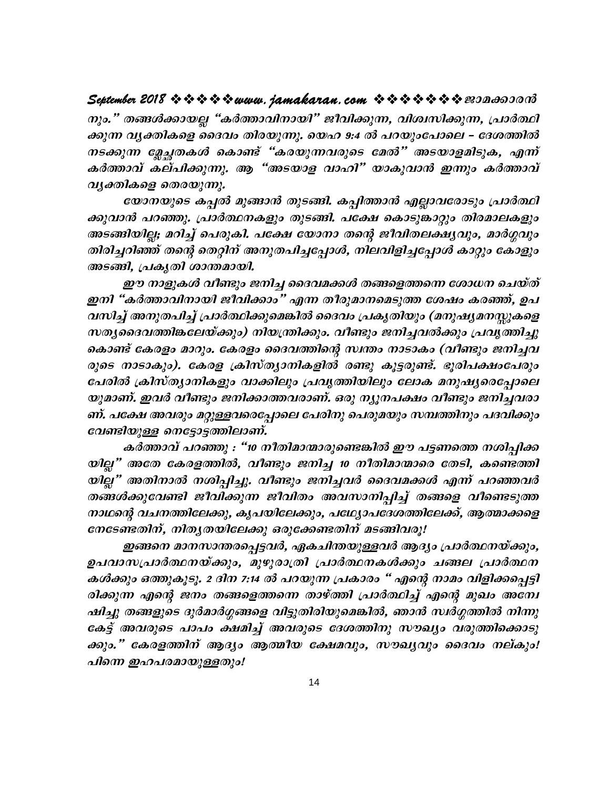# 

നും." തങ്ങൾക്കായല്ല "കർത്താവിനായി" ജീവിക്കുന്ന, വിശ്വസിക്കുന്ന, പ്രാർത്ഥി ക്കുന്ന വൃക്തികളെ ദൈവം തിരയുന്നു. യെഹ 9:4 ൽ പറയുംപോലെ – ദേശത്തിൽ നടക്കുന്ന മ്ലേച്ചതകൾ കൊണ്ട് "കരയുന്നവരുടെ മേൽ" അടയാളമിടുക, എന്ന് കർത്താവ് കല്പിക്കുന്നു. ആ "അടയാള വാഹി" യാകുവാൻ ഇന്നും കർത്താവ് വൃക്തികളെ തെരയുന്നു.

യോനയുടെ കപ്പൽ മുങ്ങാൻ തുടങ്ങി. കപ്പിത്താൻ എല്ലാവരോടും പ്രാർത്ഥി ക്കുവാൻ പറഞ്ഞു. പ്രാർത്ഥനകളും തുടങ്ങി. പക്ഷേ കൊടുങ്കാറ്റും തിരമാലകളും അടങ്ങിയില്ല; മറിച്ച് പെരുകി. പക്ഷേ യോനാ തന്റെ ജീവിതലക്ഷ്യവും, മാർഗ്ഗവും തിരിച്ചറിഞ്ഞ് തന്റെ തെറ്റിന് അനുതപിച്ചപ്പോൾ, നിലവിളിച്ചപ്പോൾ കാറ്റും കോളും അടങ്ങി, പ്രകൃതി ശാന്തമായി.

ഈ നാളുകൾ വീണ്ടും ജനിച്ച ദൈവമക്കൾ തങ്ങളെത്തന്നെ ശോധന ചെയ്ത് ഇനി "കർത്താവിനായി ജീവിക്കാം" എന്ന തീരുമാനമെടുത്ത ശേഷം കരഞ്ഞ്, ഉപ വസിച്ച് അനുതപിച്ച് പ്രാർത്ഥിക്കുമെങ്കിൽ ദൈവം പ്രകൃതിയും (മനുഷ്യമനസ്സുകളെ സതൃദൈവത്തിങ്കലേയ്ക്കും) നിയന്ത്രിക്കും. വീണ്ടും ജനിച്ചവൽക്കും പ്രവൃത്തിച്ചു കൊണ്ട് കേരളം മാറും. കേരളം ദൈവത്തിന്റെ സ്ഥതം നാടാകം (വീണ്ടും ജനിച്ചവ രുടെ നാടാകും). കേരള ക്രിസ്ത്യാനികളിൽ രണ്ടു കൂട്ടരുണ്ട്. ഭൂരിപക്ഷംപേരും പേരിൽ ക്രിസ്ത്യാനികളും വാക്കിലും പ്രവൃത്തിയിലും ലോക മനുഷ്യരെപ്പോലെ യുമാണ്. ഇവർ വീണ്ടും ജനിക്കാത്തവരാണ്. ഒരു ന്യൂനപക്ഷം വീണ്ടും ജനിച്ചവരാ ണ്. പക്ഷേ അവരും മറ്റുള്ളവരെപ്പോലെ പേരിനു പെരുമയും സമ്പത്തിനും പദവിക്കും വേണ്ടിയുള്ള നെട്ടോട്ടത്തിലാണ്.

കർത്താവ് പറഞ്ഞു : "10 നീതിമാന്മാരുണ്ടെങ്കിൽ ഈ പട്ടണത്തെ നശിപ്പിക്ക യില്ല" അതേ കേരളത്തിൽ, വീണ്ടും ജനിച്ച 10 നീതിമാന്മാരെ തേടി, കണ്ടെത്തി യില്ല" അതിനാൽ നശിപ്പിച്ചു. വീണ്ടും ജനിച്ചവർ ദൈവമക്കൾ എന്ന് പറഞ്ഞവർ തങ്ങൾക്കുവേണ്ടി ജീവിക്കുന്ന ജീവിതം അവസാനിപ്പിച്ച് തങ്ങളെ വീണ്ടെടുത്ത നാഥന്റെ വചനത്തിലേക്കു, കൃപയിലേക്കും, പഥ്വ്യാപദേശത്തിലേക്ക്, ആത്മാക്കളെ നേടേണ്ടതിന്, നിതൃതയിലേക്കു ഒരുക്കേണ്ടതിന് മടങ്ങിവരൂ!

ഇങ്ങനെ മാനസാന്തരപ്പെട്ടവർ, ഏകചിന്തയുള്ളവർ ആദ്യം പ്രാർത്ഥനയ്ക്കും, ഉപവാസപ്രാർത്ഥനയ്ക്കും, മുഴുരാത്രി പ്രാർത്ഥനകൾക്കും ചങ്ങല പ്രാർത്ഥന കൾക്കും ഒത്തുകൂടൂ. 2 ദിന 7:14 ൽ പറയുന്ന പ്രകാരം " എന്റെ നാമം വിളിക്കപ്പെട്ടി രിക്കുന്ന എന്റെ ജനം തങ്ങളെത്തന്നെ താഴ്ത്തി പ്രാർത്ഥിച്ച് എന്റെ മുഖം അന്വേ ഷിച്ചു തങ്ങളുടെ ദുർമാർഗ്ഗങ്ങളെ വിട്ടുതിരിയുമെങ്കിൽ, ഞാൻ സ്ഥർഗ്ഗത്തിൽ നിന്നു കേട്ട് അവരുടെ പാപം ക്ഷമിച്ച് അവരുടെ ദേശത്തിനു സൗഖ്യം വരുത്തിക്കൊടു ക്കും." കേരളത്തിന് ആദ്യം ആത്മീയ ക്ഷേമവും, സൗഖ്യവും ദൈവം നല്കും! പിന്നെ ഇഹപരമായുള്ളതും!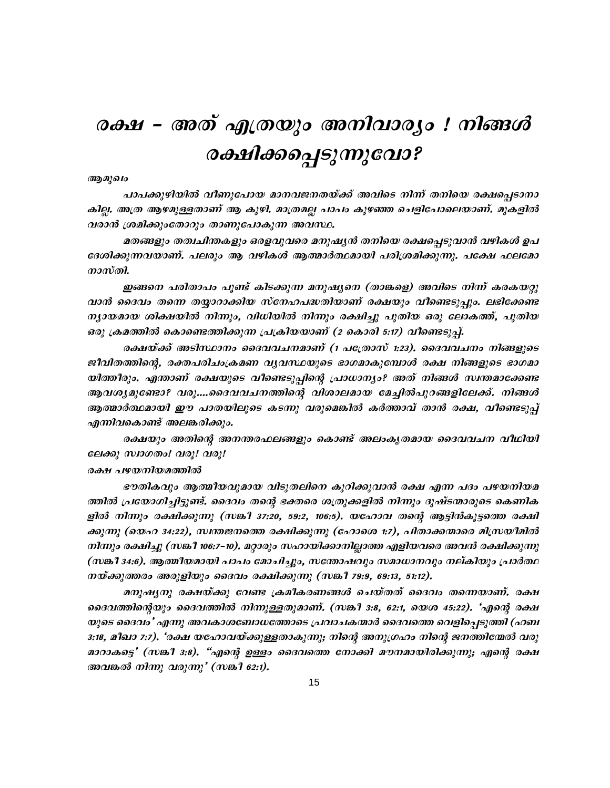# രക്ഷ – അത് എത്രയും അനിവാര്യം ! നിങ്ങൾ രക്ഷിക്കപ്പെടുന്നുവോ?

#### ആമുഖം

പാപക്കുഴിയിൽ വീണുപോയ മാനവജനതയ്ക്ക് അവിടെ നിന്ന് തനിയെ രക്ഷപ്പെടാനാ കില്ല. അത്ര ആഴമുള്ളതാണ് ആ കുഴി. മാത്രമല്ല പാപം കുഴഞ്ഞ ചെളിപോലെയാണ്. മുകളിൽ വരാൻ ശ്രമിക്കുംതോറും താണുപോകുന്ന അവസ്ഥ.

മതങ്ങളും തത്വചിന്തകളും ഒരളവുവരെ മനുഷ്യൻ തനിയെ രക്ഷപ്പെടുവാൻ വഴികൾ ഉപ ദേശിക്കുന്നവയാണ്. പലരും ആ വഴികൾ ആത്മാർത്ഥമായി പരിശ്രമിക്കുന്നു. പക്ഷേ ഫലമോ നാസ്തി.

ഇങ്ങനെ പരിതാപം പൂണ്ട് കിടക്കുന്ന മനുഷ്യനെ (താങ്കളെ) അവിടെ നിന്ന് കരകയറ്റു വാൻ ദൈവം തന്നെ തയ്യാറാക്കിയ സ്നേഹപദ്ധതിയാണ് രക്ഷയും വീണ്ടെടുപ്പും. ലഭിക്കേണ്ട ന്യായമായ ശിക്ഷയിൽ നിന്നും, വിധിയിൽ നിന്നും രക്ഷിച്ചു പുതിയ ഒരു ലോകത്ത്, പുതിയ ഒരു ക്രമത്തിൽ കൊണ്ടെത്തിക്കുന്ന പ്രക്രിയയാണ് (2 കൊരി 5:17) വീണ്ടെടുപ്പ്.

രക്ഷയ്ക്ക് അടിസ്ഥാനം ദൈവവചനമാണ് (1 പത്രോസ് 1:23). ദൈവവചനം നിങ്ങളുടെ ജീവിതത്തിന്റെ, രക്തപരിചംക്രമണ വൃവസ്ഥയുടെ ഭാഗമാകുമ്പോൾ രക്ഷ നിങ്ങളുടെ ഭാഗമാ യിത്തീരും. എന്താണ് രക്ഷയുടെ വീണ്ടെടുപ്പിന്റെ പ്രാധാന്യം? അത് നിങ്ങൾ സ്ഥതമാക്കേണ്ട ആവശ്യമുണ്ടോ? വരൂ....ദൈവവചനത്തിന്റെ വിശാലമായ മേച്ചിൽപുറങ്ങളിലേക്ക്. നിങ്ങൾ ആത്മാർത്ഥമായി ഈ പാതയിലൂടെ കടന്നു വരുമെങ്കിൽ കർത്താവ് താൻ രക്ഷ, വീണ്ടെടുപ്പ് എന്നിവകൊണ്ട് അലങ്കരിക്കും.

രക്ഷയും അതിന്റെ അനന്തരഫലങ്ങളും കൊണ്ട് അലംകൃതമായ ദൈവവചന വീഥിയി ലേക്കു സ്വാഗതം! വരു! വരു!

#### രക്ഷ പഴയനിയമത്തിൽ

ഭൗതികവും ആത്മീയവുമായ വിടുതലിനെ കുറിക്കുവാൻ രക്ഷ എന്ന പദം പഴയനിയമ ത്തിൽ പ്രയോഗിച്ചിട്ടുണ്ട്. ദൈവം തന്റെ ഭക്തരെ ശത്രുക്കളിൽ നിന്നും ദുഷ്ടന്മാരുടെ കെണിക ളിൽ നിന്നും രക്ഷിക്കുന്നു (സങ്കീ 37:20, 59:2, 106:5). യഹോവ തന്റെ ആട്ടിൻകൂട്ടത്തെ രക്ഷി ക്കുന്നു (യെഹ 34:22), സ്വന്തജനത്തെ രക്ഷിക്കുന്നു (ഹോശെ 1:7), പിതാക്കന്മാരെ മിസ്രയീമിൽ നിന്നും രക്ഷിച്ചു (സങ്കീ 106:7–10). മറ്റാരും സഹായിക്കാനില്ലാത്ത എളിയവരെ അവൻ രക്ഷിക്കുന്നു (സങ്കീ 34:6). ആത്മീയമായി പാപം മോചിച്ചും, സത്തോഷവും സമാധാനവും നല്കിയും പ്രാർത്ഥ നയ്ക്കുത്തരം അരുളിയും ദൈവം രക്ഷിക്കുന്നു (സങ്കീ 79:9, 69:13, 51:12).

മനുഷ്യനു രക്ഷയ്ക്കു വേണ്ട ക്രമീകരണങ്ങൾ ചെയ്തത് ദൈവം തന്നെയാണ്. രക്ഷ ദൈവത്തിന്റെയും ദൈവത്തിൽ നിന്നുള്ളതുമാണ്. (സങ്കീ 3:8, 62:1, യെശ 45:22). 'എന്റെ രക്ഷ യുടെ ദൈവം' എന്നു അവകാശബോധത്തോടെ പ്രവാചകന്മാർ ദൈവത്തെ വെളിപ്പെടുത്തി (ഹബ 3:18, മീഖാ 7:7). 'രക്ഷ യഹോവയ്ക്കുള്ളതാകുന്നു; നിന്റെ അനുഗ്രഹം നിന്റെ ജനത്തിന്മേൽ വരു മാറാകട്ടെ' (സങ്കീ 3:8). "എന്റെ ഉള്ളം ദൈവത്തെ നോക്കി മൗനമായിരിക്കുന്നു; എന്റെ രക്ഷ അവങ്കൽ നിന്നു വരുന്നു' (സങ്കീ 62:1).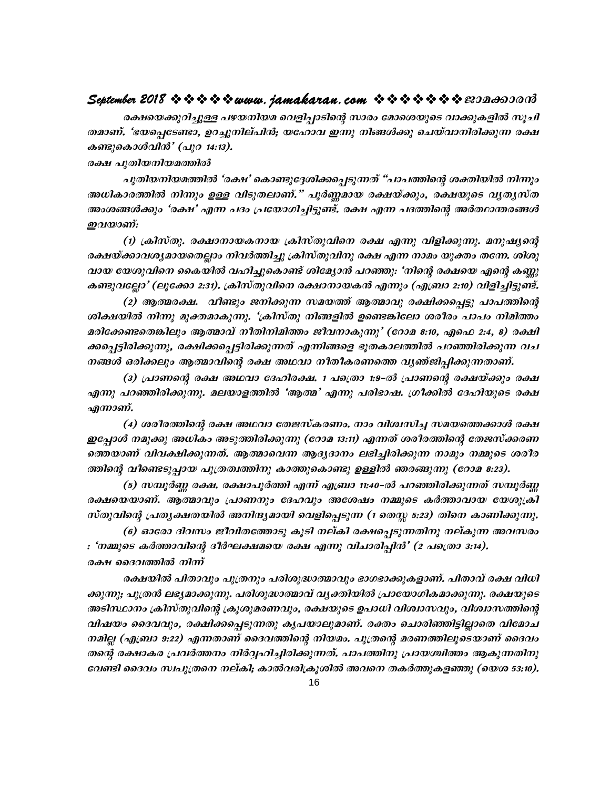#### September 2018  $\rightsquigarrow \rightsquigarrow \rightsquigarrow \rightsquigarrow www.$  jamakaran.com  $\rightsquigarrow \rightsquigarrow \rightsquigarrow \rightsquigarrow \rightsquigarrow z \rightsquigarrow z$

രക്ഷയെക്കുറിച്ചുള്ള പഴയനിയമ വെളിപാടിന്റെ സാരം മോശെയുടെ വാക്കുകളിൽ സുചി തമാണ്. 'ഭയപെടേണ്ടാ, ഉറച്ചുനില്പിൻ; യഹോവ ഇന്നു നിങ്ങൾക്കു ചെയ്വാനിരിക്കുന്ന രക്ഷ കണ്ടുകൊൾവിൻ' (പുറ 14:13).

രക്ഷ പുതിയനിയമത്തിൽ

പുതിയനിയമത്തിൽ 'രക്ഷ' കൊണ്ടുദ്ദേശിക്കപ്പെടുന്നത് "പാപത്തിന്റെ ശക്തിയിൽ നിന്നും അധികാരത്തിൽ നിന്നും ഉള്ള വിടുതലാണ്." പൂർണ്ണമായ രക്ഷയ്ക്കും, രക്ഷയുടെ വൃതൃസ്ത അംശങ്ങൾക്കും 'രക്ഷ' എന്ന പദം പ്രയോഗിച്ചിട്ടുണ്ട്. രക്ഷ എന്ന പദത്തിന്റെ അർത്ഥാന്തരങ്ങൾ ഇവയാണ്:

(1) ക്രിസ്തു. രക്ഷാനായകനായ ക്രിസ്തുവിനെ രക്ഷ എന്നു വിളിക്കുന്നു. മനുഷ്യന്റെ രക്ഷയ്ക്കാവശ്യമായതെല്ലാം നിവർത്തിച്ചു ക്രിസ്തുവിനു രക്ഷ എന്ന നാമം യുക്തം തന്നേ. ശിശു വായ യേശുവിനെ കൈയിൽ വഹിച്ചുകൊണ്ട് ശിമ്യോൻ പറഞ്ഞു: 'നിന്റെ രക്ഷയെ എന്റെ കണ്ണു കണ്ടുവല്ലോ' (ലൂക്കോ 2:31). ക്രിസ്തുവിനെ രക്ഷാനായകൻ എന്നും (എബ്രാ 2:10) വിളിച്ചിട്ടുണ്ട്.

(2) ആത്മരക്ഷ. വീണ്ടും ജനിക്കുന്ന സമയത്ത് ആത്മാവു രക്ഷിക്കപ്പെട്ടു പാപത്തിന്റെ ശിക്ഷയിൽ നിന്നു മുക്തമാകുന്നു. 'ക്രിസ്തു നിങ്ങളിൽ ഉണ്ടെങ്കിലോ ശരീരം പാപം നിമിത്തം മരിക്കേണ്ടതെങ്കിലും ആത്മാവ് നീതിനിമിത്തം ജീവനാകുന്നു' (റോമ 8:10, എഫെ 2:4, 8) രക്ഷി ക്കപ്പെട്ടിരിക്കുന്നു, രക്ഷിക്കപ്പെട്ടിരിക്കുന്നത് എന്നിങ്ങളെ ഭൂതകാലത്തിൽ പറഞ്ഞിരിക്കുന്ന വച നങ്ങൾ ഒരിക്കലും ആത്മാവിന്റെ രക്ഷ അഥവാ നീതീകരണത്തെ വൃഞ്ജിപ്പിക്കുന്നതാണ്.

(3) പ്രാണന്റെ രക്ഷ അഥവാ ദേഹിരക്ഷ. 1 പത്രൊ 1:9-ൽ പ്രാണന്റെ രക്ഷയ്ക്കും രക്ഷ എന്നു പറഞ്ഞിരിക്കുന്നു. മലയാളത്തിൽ 'ആത്മ' എന്നു പരിഭാഷ. ഗ്രീക്കിൽ ദേഹിയുടെ രക്ഷ എന്നാണ്.

(4) ശരീരത്തിന്റെ രക്ഷ അഥവാ തേജസ്കരണം. നാം വിശ്വസിച്ച സമയത്തെക്കാൾ രക്ഷ ഇപ്പോൾ നമുക്കു അധികം അടുത്തിരിക്കുന്നു (റോമ 13:11) എന്നത് ശരീരത്തിന്റെ തേജസ്ക്കരണ ത്തെയാണ് വിവക്ഷിക്കുന്നത്. ആത്മാവെന്ന ആദ്യദാനം ലഭിച്ചിരിക്കുന്ന നാമും നമ്മുടെ ശരീര ത്തിന്റെ വീണ്ടെടുപ്പായ പുത്രത്വത്തിനു കാത്തുകൊണ്ടു ഉള്ളിൽ ഞരങ്ങുന്നു (റോമ 8:23).

(5) സമ്പൂർണ്ണ രക്ഷ. രക്ഷാപൂർത്തി എന്ന് എബ്രാ 11:40–ൽ പറഞ്ഞിരിക്കുന്നത് സമ്പൂർണ്ണ രക്ഷയെയാണ്. ആത്മാവും പ്രാണനും ദേഹവും അശേഷം നമ്മുടെ കർത്താവായ യേശുക്രി സ്തുവിന്റെ പ്രതൃക്ഷതയിൽ അനിന്ദ്യമായി വെളിപെടുന്ന (1 തെസ്ല 5:23) തിനെ കാണിക്കുന്നു. (6) ഓരോ ദിവസം ജീവിതത്തോടു കൂടി നല്കി രക്ഷപ്പെടുന്നതിനു നല്കുന്ന അവസരം

: 'നമ്മുടെ കർത്താവിന്റെ ദീർഘക്ഷമയെ രക്ഷ എന്നു വിചാരിപ്പിൻ' (2 പത്രൊ 3:14). രക്ഷ ദൈവത്തിൽ നിന്ന്

രക്ഷയിൽ പിതാവും പുത്രനും പരിശുദ്ധാത്മാവും ഭാഗഭാക്കുകളാണ്. പിതാവ് രക്ഷ വിധി ക്കുന്നു; പുത്രൻ ലഭ്യമാക്കുന്നു. പരിശുദ്ധാത്മാവ് വ്യക്തിയിൽ പ്രായോഗികമാക്കുന്നു. രക്ഷയുടെ അടിസ്ഥാനം ക്രിസ്തുവിന്റെ ക്രുശുമരണവും, രക്ഷയുടെ ഉപാധി വിശ്വാസവും, വിശ്വാസത്തിന്റെ വിഷയം ദൈവവും, രക്ഷിക്കപ്പെടുന്നതു കൃപയാലുമാണ്. രക്തം ചൊരിഞ്ഞിട്ടില്ലാതെ വിമോച നമില്ല (എബ്രാ 9:22) എന്നതാണ് ദൈവത്തിന്റെ നിയമം. പുത്രന്റെ മരണത്തിലൂടെയാണ് ദൈവം തന്റെ രക്ഷാകര പ്രവർത്തനം നിർവ്വഹിച്ചിരിക്കുന്നത്. പാപത്തിനു പ്രായശ്ചിത്തം ആകുന്നതിനു വേണ്ടി ദൈവം സ്ഥുത്രനെ നല്കി; കാൽവരിക്രുശിൽ അവനെ തകർത്തുകളഞ്ഞു (യെശ 53:10).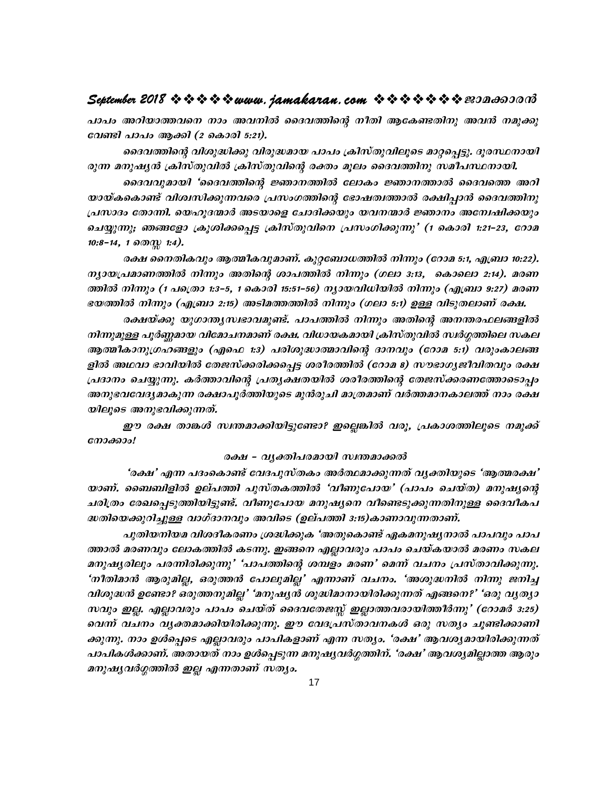#### September 2018  $\rightsquigarrow \rightsquigarrow \rightsquigarrow \rightsquigarrow www.$  jamakaran.com  $\rightsquigarrow \rightsquigarrow \rightsquigarrow \rightsquigarrow \rightsquigarrow www.$

പാപം അറിയാത്തവനെ നാം അവനിൽ ദൈവത്തിന്റെ നീതി ആകേണ്ടതിനു അവൻ നമുക്കു വേണ്ടി പാപം ആക്കി (2 കൊരി 5:21).

ദൈവത്തിന്റെ വിശുദ്ധിക്കു വിരുദ്ധമായ പാപം ക്രിസ്തുവിലൂടെ മാറ്റപ്പെട്ടു. ദുരസ്ഥനായി രുന്ന മനുഷൃൻ ക്രിസ്തുവിൽ ക്രിസ്തുവിന്റെ രക്തം മൂലം ദൈവത്തിനു സമീപസ്ഥനായി.

ദൈവവുമായി 'ദൈവത്തിന്റെ ജ്ഞാനത്തിൽ ലോകം ജ്ഞാനത്താൽ ദൈവത്തെ അറി യായ്കകൊണ്ട് വിശ്വസിക്കുന്നവരെ പ്രസംഗത്തിന്റെ ഭോഷത്വത്താൽ രക്ഷിപ്പാൻ ദൈവത്തിനു പ്രസാദം തോന്നി. യെഹുദന്മാർ അടയാളെ ചോദിക്കയും യവനന്മാർ ജ്ഞാനം അന്വേഷിക്കയും ചെയ്യുന്നു; ഞങ്ങളോ ക്രൂശിക്കപ്പെട്ട ക്രിസ്തുവിനെ പ്രസംഗിക്കുന്നു' (1 കൊരി 1:21-23, റോമ  $10:8-14$ , 1  $\partial \mathcal{O}(\mathbb{Q})$  1:4).

രക്ഷ നൈതികവും ആത്മീകവുമാണ്. കുറ്റബോധത്തിൽ നിന്നും (റോമ 5:1, എബ്രാ 10:22). ന്യായപ്രമാണത്തിൽ നിന്നും അതിന്റെ ശാപത്തിൽ നിന്നും (ഗലാ 3:13, കൊലൊ 2:14). മരണ ത്തിൽ നിന്നും (1 പത്രൊ 1:3–5, 1 കൊരി 15:51–56) നൃായവിധിയിൽ നിന്നും (എബ്രാ 9:27) മരണ ഭയത്തിൽ നിന്നും (എബ്രാ 2:15) അടിമത്തത്തിൽ നിന്നും (ഗലാ 5:1) ഉള്ള വിടുതലാണ് രക്ഷ.

രക്ഷയ്ക്കു യുഗാന്ത്യസ്വഭാവമുണ്ട്. പാപത്തിൽ നിന്നും അതിന്റെ അനന്തരഫലങ്ങളിൽ നിന്നുമുള്ള പൂർണ്ണമായ വിമോചനമാണ് രക്ഷ. വിധായകമായി ക്രിസ്തുവിൽ സ്ഥർഗ്ഗത്തിലെ സകല ആത്മീകാനുഗ്രഹങ്ങളും (എഫെ 1:3) പരിശുദ്ധാത്മാവിന്റെ ദാനവും (റോമ 5:1) വരുംകാലങ്ങ ളിൽ അഥവാ ഭാവിയിൽ തേജസ്ക്കരിക്കപ്പെട്ട ശരീരത്തിൽ (റോമ 8) സൗഭാഗൃജീവിതവും രക്ഷ പ്രദാനം ചെയ്യുന്നു. കർത്താവിന്റെ പ്രത്യക്ഷതയിൽ ശരീരത്തിന്റെ തേജസ്ക്കരണത്തോടൊപ്പം അനുഭവവേദ്യമാകുന്ന രക്ഷാപൂർത്തിയുടെ മുൻരുചി മാത്രമാണ് വർത്തമാനകാലത്ത് നാം രക്ഷ യിലൂടെ അനുഭവിക്കുന്നത്.

ഈ രക്ഷ താങ്കൾ സ്ഥതമാക്കിയിട്ടുണ്ടോ? ഇല്ലെങ്കിൽ വരൂ, പ്രകാശത്തിലൂടെ നമുക്ക് നോക്കാം!

#### രക്ഷ – വൃക്തിപരമായി സ്വന്തമാക്കൽ

'രക്ഷ' എന്ന പദംകൊണ്ട് വേദപുസ്തകം അർത്ഥമാക്കുന്നത് വൃക്തിയുടെ 'ആത്മരക്ഷ' യാണ്. ബൈബിളിൽ ഉല്പത്തി പുസ്തകത്തിൽ 'വീണുപോയ' (പാപം ചെയ്ത) മനുഷ്യന്റെ ചരിത്രം രേഖപ്പെടുത്തിയിട്ടുണ്ട്. വീണുപോയ മനുഷ്യനെ വീണ്ടെടുക്കുന്നതിനുള്ള ദൈവീകപ ദ്ധതിയെക്കുറിച്ചുള്ള വാഗ്ദാനവും അവിടെ (ഉല്പത്തി 3:15)കാണാവുന്നതാണ്.

പുതിയനിയമ വിശദീകരണം ശ്രദ്ധിക്കുക 'അതുകൊണ്ട് ഏകമനുഷ്യനാൽ പാപവും പാപ ത്താൽ മരണവും ലോകത്തിൽ കടന്നു. ഇങ്ങനെ എല്ലാവരും പാപം ചെയ്കയാൽ മരണം സകല മനുഷ്യരിലും പരന്നിരിക്കുന്നു' 'പാപത്തിന്റെ ശമ്പളം മരണ' മെന്ന് വചനം പ്രസ്താവിക്കുന്നു. 'നീതിമാൻ ആരുമില്ല, ഒരുത്തൻ പോലുമില്ല' എന്നാണ് വചനം. 'അശുദ്ധനിൽ നിന്നു ജനിച്ച വിശുദ്ധൻ ഉണ്ടോ? ഒരുത്തനുമില്ല' 'മനുഷ്യൻ ശുദ്ധിമാനായിരിക്കുന്നത് എങ്ങനെ?' 'ഒരു വ്യത്യാ സവും ഇല്ല. എല്ലാവരും പാപം ചെയ്ത് ദൈവതേജസ്സ് ഇല്ലാത്തവരായിത്തീർന്നു' (റോമർ 3:25) വെന്ന് വചനം വൃക്തമാക്കിയിരിക്കുന്നു. ഈ വേദപ്രസ്താവനകൾ ഒരു സത്യം ചൂണ്ടിക്കാണി ക്കുന്നു. നാം ഉൾപ്പെടെ എല്ലാവരും പാപികളാണ് എന്ന സത്യം. 'രക്ഷ' ആവശ്യമായിരിക്കുന്നത് പാപികൾക്കാണ്. അതായത് നാം ഉൾപെടുന്ന മനുഷ്യവർഗ്ഗത്തിന്. 'രക്ഷ' ആവശ്യമില്ലാത്ത ആരും മനുഷ്യവർഗ്ഗത്തിൽ ഇല്ല എന്നതാണ് സത്യം.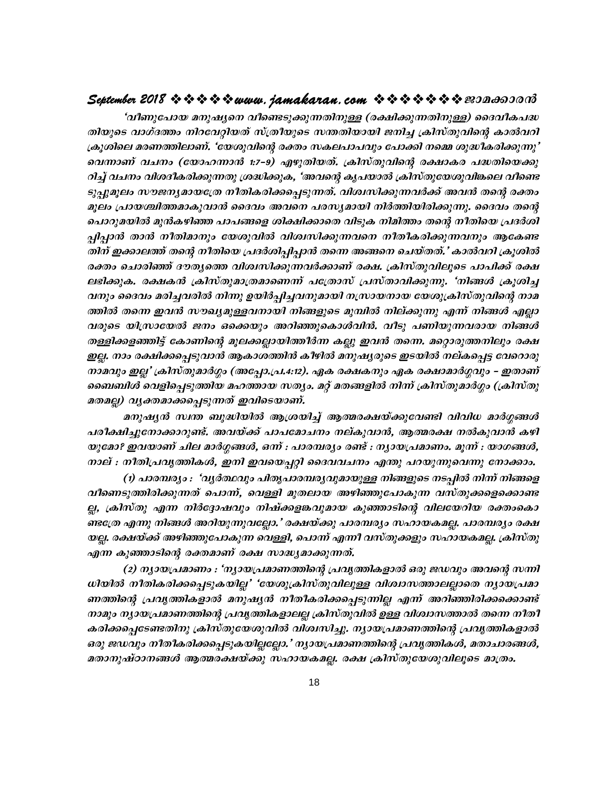#### September 2018  $\rightsquigarrow \rightsquigarrow \rightsquigarrow \rightsquigarrow www.$  jamakaran.com  $\rightsquigarrow \rightsquigarrow \rightsquigarrow \rightsquigarrow \rightsquigarrow z \rightsquigarrow z$

'വീണുപോയ മനുഷ്യനെ വീണ്ടെടുക്കുന്നതിനുള്ള (രക്ഷിക്കുന്നതിനുള്ള) ദൈവീകപദ്ധ തിയുടെ വാഗ്ദത്തം നിറവേറ്റിയത് സ്ത്രീയുടെ സന്തതിയായി ജനിച്ച ക്രിസ്തുവിന്റെ കാൽവറി ക്രൂശിലെ മരണത്തിലാണ്. 'യേശുവിന്റെ രക്തം സകലപാപവും പോക്കി നമ്മെ ശുദ്ധീകരിക്കുന്നു' വെന്നാണ് വചനം (യോഹന്നാൻ 1:7-9) എഴുതിയത്. ക്രിസ്തുവിന്റെ രക്ഷാകര പദ്ധതിയെക്കു റിച്ച് വചനം വിശദീകരിക്കുന്നതു ശ്രദ്ധിക്കുക, 'അവന്റെ കൃപയാൽ ക്രിസ്തുയേശുവിങ്കലെ വീണ്ടെ ടുപ്പുമൂലം സൗജനൃമായത്രേ നീതികരിക്കപ്പെടുന്നത്. വിശ്വസിക്കുന്നവർക്ക് അവൻ തന്റെ രക്തം മൂലം പ്രായശ്ചിത്തമാകുവാൻ ദൈവം അവനെ പരസ്യമായി നിർത്തിയിരിക്കുന്നു. ദൈവം തന്റെ പൊറുമയിൽ മുൻകഴിഞ്ഞ പാപങ്ങളെ ശിക്ഷിക്കാതെ വിടുക നിമിത്തം തന്റെ നീതിയെ പ്രദർശി പിപാൻ താൻ നീതിമാനും യേശുവിൽ വിശ്വസിക്കുന്നവനെ നീതീകരിക്കുന്നവനും ആകേണ്ട തിന് ഇക്കാലത്ത് തന്റെ നീതിയെ പ്രദർശിപ്പിപ്പാൻ തന്നെ അങ്ങനെ ചെയ്തത്.' കാൽവറി ക്രൂശിൽ രക്തം ചൊരിഞ്ഞ് ദൗതൃത്തെ വിശ്വസിക്കുന്നവർക്കാണ് രക്ഷ. ക്രിസ്തുവിലൂടെ പാപിക്ക് രക്ഷ ലഭിക്കുക. രക്ഷകൻ ക്രിസ്തുമാത്രമാണെന്ന് പത്രോസ് പ്രസ്താവിക്കുന്നു. 'നിങ്ങൾ ക്രുശിച്ച വനും ദൈവം മരിച്ചവരിൽ നിന്നു ഉയിർപ്പിച്ചവനുമായി നസ്രായനായ യേശുക്രിസ്തുവിന്റെ നാമ ത്തിൽ തന്നെ ഇവൻ സൗഖ്യമുള്ളവനായി നിങ്ങളുടെ മുമ്പിൽ നില്ക്കുന്നു എന്ന് നിങ്ങൾ എല്ലാ വരുടെ യിസ്രായേൽ ജനം ഒക്കെയും അറിഞ്ഞുകൊൾവിൻ. വീടു പണിയുന്നവരായ നിങ്ങൾ തള്ളിക്കളഞ്ഞിട്ട് കോണിന്റെ മൂലക്കല്ലായിത്തീർന്ന കല്ലു ഇവൻ തന്നെ. മറ്റൊരുത്തനിലും രക്ഷ ഇല്ല. നാം രക്ഷിക്കപ്പെടുവാൻ ആകാശത്തിൻ കീഴിൽ മനുഷ്യരുടെ ഇടയിൽ നല്കപ്പെട്ട വേറൊരു നാമവും ഇല്ല' ക്രിസ്തുമാർഗ്ഗം (അപ്പോ.പ്ര.4:12). ഏക രക്ഷകനും ഏക രക്ഷാമാർഗ്ഗവും – ഇതാണ് ബൈബിൾ വെളിപ്പെടുത്തിയ മഹത്തായ സതൃം. മറ്റ് മതങ്ങളിൽ നിന്ന് ക്രിസ്തുമാർഗ്ഗം (ക്രിസ്തു മതമല്ല) വൃക്തമാക്കപ്പെടുന്നത് ഇവിടെയാണ്.

മനുഷ്യൻ സ്വന്ത ബുദ്ധിയിൽ ആശ്രയിച്ച് ആത്മരക്ഷയ്ക്കുവേണ്ടി വിവിധ മാർഗ്ഗങ്ങൾ പരീക്ഷിച്ചുനോക്കാറുണ്ട്. അവയ്ക്ക് പാപമോചനം നല്കുവാൻ, ആത്മരക്ഷ നൽകുവാൻ കഴി യുമോ? ഇവയാണ് ചില മാർഗ്ഗങ്ങൾ, ഒന്ന് : പാരമ്പര്യം രണ്ട് : ന്യായപ്രമാണം. മൂന്ന് : യാഗങ്ങൾ, നാല് : നീതിപ്രവൃത്തികൾ, ഇനി ഇവയെപ്പറ്റി ദൈവവചനം എന്തു പറയുന്നുവെന്നു നോക്കാം.

(1) പാരമ്പര്യം : 'വൃർത്ഥവും പിതൃപാരമ്പര്യവുമായുള്ള നിങ്ങളുടെ നടപ്പിൽ നിന്ന് നിങ്ങളെ വീണെടുത്തിരിക്കുന്നത് പൊന്ന്, വെള്ളി മുതലായ അഴിഞ്ഞുപോകുന്ന വസ്തുക്കളെക്കൊണ്ട ല്ല, ക്രിസ്തു എന്ന നിർദ്ദോഷവും നിഷ്ക്കളങ്കവുമായ കുഞ്ഞാടിന്റെ വിലയേറിയ രക്തംകൊ ണ്ടത്രേ എന്നു നിങ്ങൾ അറിയുന്നുവല്ലോ.' രക്ഷയ്ക്കു പാരമ്പര്യം സഹായകമല്ല. പാരമ്പര്യം രക്ഷ യല്ല. രക്ഷയ്ക്ക് അഴിഞ്ഞുപോകുന്ന വെള്ളി, പൊന്ന് എന്നീ വസ്തുക്കളും സഹായകമല്ല. ക്രിസ്തു എന്ന കുഞ്ഞാടിന്റെ രക്തമാണ് രക്ഷ സാദ്ധ്യമാക്കുന്നത്.

(2) ന്യായപ്രമാണം : 'ന്യായപ്രമാണത്തിന്റെ പ്രവൃത്തികളാൽ ഒരു ജഡവും അവന്റെ സന്നി ധിയിൽ നീതികരിക്കപ്പെടുകയില്ല' 'യേശുക്രിസ്തുവിലുള്ള വിശ്വാസത്താലല്ലാതെ ന്യായപ്രമാ ണത്തിന്റെ പ്രവൃത്തികളാൽ മനുഷ്യൻ നീതീകരിക്കപ്പെടുന്നില്ല എന്ന് അറിഞ്ഞിരിക്കക്കൊണ്ട് നാമും ന്യായപ്രമാണത്തിന്റെ പ്രവൃത്തികളാലല്ല ക്രിസ്തുവിൽ ഉള്ള വിശ്വാസത്താൽ തന്നെ നീതീ കരിക്കപ്പെടേണ്ടതിനു ക്രിസ്തുയേശുവിൽ വിശ്വസിച്ചു. ന്യായപ്രമാണത്തിന്റെ പ്രവൃത്തികളാൽ ഒരു ജഡവും നീതീകരിക്കപ്പെടുകയില്ലല്ലോ.' ന്യായപ്രമാണത്തിന്റെ പ്രവൃത്തികൾ, മതാചാരങ്ങൾ, മതാനുഷ്ഠാനങ്ങൾ ആത്മരക്ഷയ്ക്കു സഹായകമല്ല. രക്ഷ ക്രിസ്തുയേശുവിലൂടെ മാത്രം.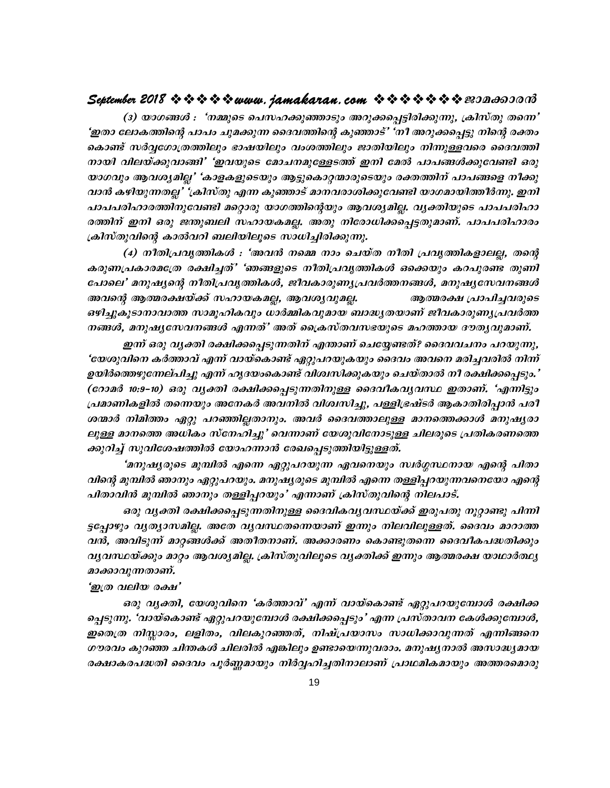#### September 2018  $\rightsquigarrow \rightsquigarrow \rightsquigarrow \rightsquigarrow www.$  jamakaran.com  $\rightsquigarrow \rightsquigarrow \rightsquigarrow \rightsquigarrow \rightsquigarrow www.$

(3) യാഗങ്ങൾ : "നമ്മുടെ പെസഹക്കുഞ്ഞാടും അറുക്കപ്പെട്ടിരിക്കുന്നു, ക്രിസ്തു തന്നെ' 'ഇതാ ലോകത്തിന്റെ പാപം ചുമക്കുന്ന ദൈവത്തിന്റെ കുഞ്ഞാട്' 'നീ അറുക്കപ്പെട്ടു നിന്റെ രക്തം കൊണ്ട് സർവ്വഗോത്രത്തിലും ഭാഷയിലും വംശത്തിലും ജാതിയിലും നിന്നുള്ളവരെ ദൈവത്തി നായി വിലയ്ക്കുവാങ്ങി' 'ഇവയുടെ മോചനമുള്ളേടത്ത് ഇനി മേൽ പാപങ്ങൾക്കുവേണ്ടി ഒരു യാഗവും ആവശ്യമില്ല' 'കാളകളുടെയും ആട്ടുകൊറ്റന്മാരുടെയും രക്തത്തിന് പാപങ്ങളെ നീക്കു വാൻ കഴിയുന്നതല്ല' 'ക്രിസ്തു എന്ന കുഞ്ഞാട് മാനവരാശിക്കുവേണ്ടി യാഗമായിത്തീർന്നു. ഇനി പാപപരിഹാരത്തിനുവേണ്ടി മറ്റൊരു യാഗത്തിന്റെയും ആവശ്യമില്ല. വ്യക്തിയുടെ പാപപരിഹാ രത്തിന് ഇനി ഒരു ജന്തുബലി സഹായകമല്ല. അതു നിരോധിക്കപ്പെട്ടതുമാണ്. പാപപരിഹാരം ക്രിസ്തുവിന്റെ കാൽവറി ബലിയിലൂടെ സാധിച്ചിരിക്കുന്നു.

(4) നീതിപ്രവൃത്തികൾ : 'അവൻ നമ്മെ നാം ചെയ്ത നീതി പ്രവൃത്തികളാലല്ല, തന്റെ കരുണപ്രകാരമശ്രേ രക്ഷിച്ചത്' 'ഞങ്ങളുടെ നീതിപ്രവൃത്തികൾ ഒക്കെയും കറപുരണ്ട തുണി പോലെ' മനുഷ്യന്റെ നീതിപ്രവൃത്തികൾ, ജീവകാരുണ്യപ്രവർത്തനങ്ങൾ, മനുഷ്യസേവനങ്ങൾ അവന്റെ ആത്മരക്ഷയ്ക്ക് സഹായകമല്ല, ആവശൃവുമല്ല. ആത്മരക്ഷ പ്രാപിച്ചവരുടെ ഒഴിച്ചുകൂടാനാവാത്ത സാമൂഹികവും ധാർമ്മികവുമായ ബാദ്ധ്യതയാണ് ജീവകാരുണ്യ്യപവർത്ത നങ്ങൾ, മനുഷ്യസേവനങ്ങൾ എന്നത്' അത് പ്രൈസ്തവസഭയുടെ മഹത്തായ ദൗതൃവുമാണ്.

ഇന്ന് ഒരു വൃക്തി രക്ഷിക്കപ്പെടുന്നതിന് എന്താണ് ചെയ്യേണ്ടത്? ദൈവവചനം പറയുന്നു, 'യേശുവിനെ കർത്താവ് എന്ന് വായ്കൊണ്ട് ഏറ്റുപറയുകയും ദൈവം അവനെ മരിച്ചവരിൽ നിന്ന് ഉയിർത്തെഴുന്നേല്പിച്ചു എന്ന് ഹൃദയംകൊണ്ട് വിശ്വസിക്കുകയും ചെയ്താൽ നീ രക്ഷിക്കപെടും.' (റോമർ 10:9-10) ഒരു വൃക്തി രക്ഷിക്കപ്പെടുന്നതിനുള്ള ദൈവീകവൃവസ്ഥ ഇതാണ്. 'എന്നിട്ടും പ്രമാണികളിൽ തന്നെയും അനേകർ അവനിൽ വിശ്വസിച്ചു, പള്ളിഭ്രഷ്ടർ ആകാതിരിപ്പാൻ പരീ ശന്മാർ നിമിത്തം ഏറ്റു പറഞ്ഞില്ലതാനും. അവർ ദൈവത്താലുള്ള മാനത്തെക്കാൾ മനുഷ്യരാ ലുള്ള മാനത്തെ അധികം സ്നേഹിച്ചു' വെന്നാണ് യേശുവിനോടുള്ള ചിലരുടെ പ്രതികരണത്തെ ക്കുറിച്ച് സുവിശേഷത്തിൽ യോഹന്നാൻ രേഖപ്പെടുത്തിയിട്ടുള്ളത്.

'മനുഷ്യരുടെ മുമ്പിൽ എന്നെ ഏറ്റുപറയുന്ന ഏവനെയും സ്ഥർഗ്ഗസ്ഥനായ എന്റെ പിതാ വിന്റെ മുമ്പിൽ ഞാനും ഏറ്റുപറയും. മനുഷ്യരുടെ മുമ്പിൽ എന്നെ തള്ളിപ്പറയുന്നവനെയോ എന്റെ പിതാവിൻ മുമ്പിൽ ഞാനും തള്ളിപ്പറയും' എന്നാണ് ക്രിസ്തുവിന്റെ നിലപാട്.

ഒരു വൃക്തി രക്ഷിക്കപ്പെടുന്നതിനുള്ള ദൈവികവൃവസ്ഥയ്ക്ക് ഇരുപതു നൂറ്റാണ്ടു പിന്നി ട്ടപ്പോഴും വ്യത്യാസമില്ല. അതേ വ്യവസ്ഥതന്നെയാണ് ഇന്നും നിലവിലുള്ളത്. ദൈവം മാറാത്ത വൻ, അവിടുന്ന് മാറ്റങ്ങൾക്ക് അതീതനാണ്. അക്കാരണം കൊണ്ടുതന്നെ ദൈവീകപദ്ധതിക്കും വൃവസ്ഥയ്ക്കും മാറ്റം ആവശ്യമില്ല. ക്രിസ്തുവിലൂടെ വ്യക്തിക്ക് ഇന്നും ആത്മരക്ഷ യാഥാർത്ഥ്യ മാക്കാവുന്നതാണ്.

#### 'ഇത്ര വലിയ രക്ഷ'

ഒരു വൃക്തി, യേശുവിനെ 'കർത്താവ്' എന്ന് വായ്കൊണ്ട് ഏറ്റുപറയുമ്പോൾ രക്ഷിക്ക ച്ചെടുന്നു. 'വായ്കൊണ്ട് ഏറ്റുപറയുമ്പോൾ രക്ഷിക്കപ്പെടും' എന്ന പ്രസ്താവന കേൾക്കുമ്പോൾ, ഇതെത്ര നിസ്സാരം, ലളിതം, വിലകുറഞ്ഞത്, നിഷ്പ്രയാസം സാധിക്കാവുന്നത് എന്നിങ്ങനെ ഗൗരവം കുറഞ്ഞ ചിന്തകൾ ചിലരിൽ എങ്കിലും ഉണ്ടായെന്നുവരാം. മനുഷ്യനാൽ അസാദ്ധ്യമായ രക്ഷാകരപദ്ധതി ദൈവം പൂർണ്ണമായും നിർവ്വഹിച്ചതിനാലാണ് പ്രാഥമികമായും അത്തരമൊരു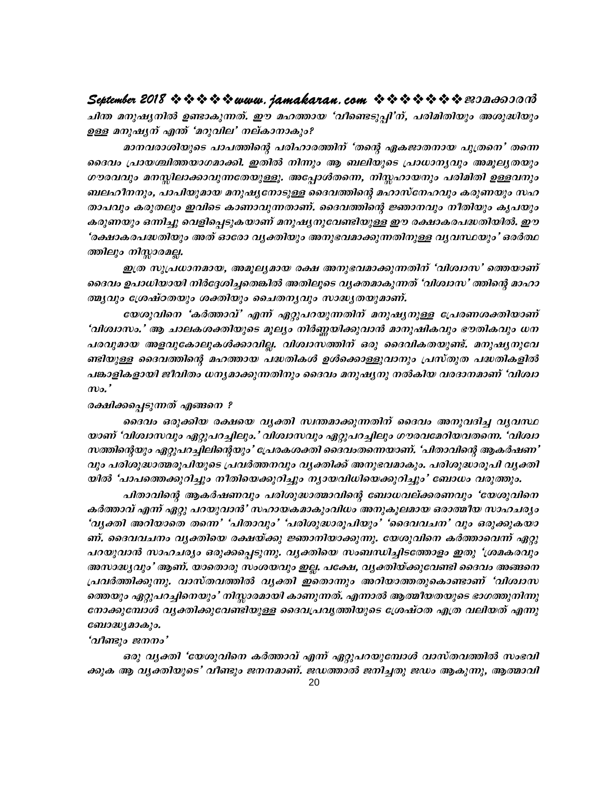#### September 2018  $\rightsquigarrow \rightsquigarrow \rightsquigarrow \rightsquigarrow www.$  jamakaran.com  $\rightsquigarrow \rightsquigarrow \rightsquigarrow \rightsquigarrow \rightsquigarrow z \rightsquigarrow z$

ചിന്ത മനുഷ്യനിൽ ഉണ്ടാകുന്നത്. ഈ മഹത്തായ 'വീണ്ടെടുപ്പി'ന്, പരിമിതിയും അശുദ്ധിയും ഉള്ള മനുഷ്യന് എന്ത് 'മറുവില' നല്കാനാകും?

മാനവരാശിയുടെ പാപത്തിന്റെ പരിഹാരത്തിന് 'തന്റെ ഏകജാതനായ പുത്രനെ' തന്നെ ദൈവം പ്രായശ്ചിത്തയാഗമാക്കി. ഇതിൽ നിന്നും ആ ബലിയുടെ പ്രാധാന്യവും അമുല്യതയും ഗൗരവവും മനസ്സിലാക്കാവുന്നതേയുള്ളൂ. അപ്പോൾതന്നെ, നിസ്തഹായനും പരിമിതി ഉള്ളവനും ബലഹീനനും, പാപിയുമായ മനുഷ്യനോടുള്ള ദൈവത്തിന്റെ മഹാസ്നേഹവും കരുണയും സഹ താപവും കരുതലും ഇവിടെ കാണാവുന്നതാണ്. ദൈവത്തിന്റെ ജ്ഞാനവും നീതിയും കൃപയും കരുണയും ഒന്നിച്ചു വെളിപ്പെടുകയാണ് മനുഷ്യനുവേണ്ടിയുള്ള ഈ രക്ഷാകരപദ്ധതിയിൽ. ഈ 'രക്ഷാകരപദ്ധതിയും അത് ഓരോ വൃക്തിയും അനുഭവമാക്കുന്നതിനുള്ള വൃവസ്ഥയും' ഒരർത്ഥ ത്തിലും നിസ്സാരമല്ല.

ഇത്ര സുപ്രധാനമായ, അമുല്യമായ രക്ഷ അനുഭവമാക്കുന്നതിന് 'വിശ്വാസ' ത്തെയാണ് ദൈവം ഉപാധിയായി നിർദ്ദേശിച്ചതെങ്കിൽ അതിലൂടെ വ്യക്തമാകുന്നത് 'വിശ്വാസ' ത്തിന്റെ മാഹാ ത്മൃവും ശ്രേഷ്ഠതയും ശക്തിയും ചൈതനൃവും സാദ്ധ്യതയുമാണ്.

യേശുവിനെ 'കർത്താവ്' എന്ന് ഏറ്റുപറയുന്നതിന് മനുഷ്യനുള്ള പ്രേരണശക്തിയാണ് 'വിശ്വാസം.' ആ ചാലകശക്തിയുടെ മൂല്യം നിർണ്ണയിക്കുവാൻ മാനുഷികവും ഭൗതികവും ധന പരവുമായ അളവുകോലുകൾക്കാവില്ല. വിശ്വാസത്തിന് ഒരു ദൈവികതയുണ്ട്. മനുഷൃനുവേ ണ്ടിയുള്ള ദൈവത്തിന്റെ മഹത്തായ പദ്ധതികൾ ഉൾക്കൊള്ളുവാനും പ്രസ്തുത പദ്ധതികളിൽ പങ്കാളികളായി ജീവിതം ധനൃമാക്കുന്നതിനും ദൈവം മനുഷ്യനു നൽകിയ വരദാനമാണ് 'വിശ്വാ  $\omega$ .

#### രക്ഷിക്കപ്പെടുന്നത് എങ്ങനെ ?

ദൈവം ഒരുക്കിയ രക്ഷയെ വ്യക്തി സ്ഥതമാക്കുന്നതിന് ദൈവം അനുവദിച്ച വ്യവസ്ഥ യാണ് 'വിശ്വാസവും ഏറ്റുപറച്ചിലും.' വിശ്വാസവും ഏറ്റുപറച്ചിലും ഗൗരവമേറിയവതന്നെ. 'വിശ്വാ സത്തിന്റെയും ഏറ്റുപറച്ചിലിന്റെയും' പ്രേരകശക്തി ദൈവംതന്നെയാണ്. 'പിതാവിന്റെ ആകർഷണ' വും പരിശുദ്ധാത്മരൂപിയുടെ പ്രവർത്തനവും വ്യക്തിക്ക് അനുഭവമാകും. പരിശുദ്ധാരൂപി വ്യക്തി യിൽ 'പാപത്തെക്കുറിച്ചും നീതിയെക്കുറിച്ചും ന്യായവിധിയെക്കുറിച്ചും' ബോധം വരുത്തും.

പിതാവിന്റെ ആകർഷണവും പരിശുദ്ധാത്മാവിന്റെ ബോധവല്ക്കരണവും 'യേശുവിനെ കർത്താവ് എന്ന് ഏറ്റു പറയുവാൻ' സഹായകമാകുംവിധം അനുകൂലമായ ഒരാത്മീയ സാഹചര്യം 'വൃക്തി അറിയാതെ തന്നെ' 'പിതാവും' 'പരിശുദ്ധാരൂപിയും' 'ദൈവവചന' വും ഒരുക്കുകയാ ണ്. ദൈവവചനം വൃക്തിയെ രക്ഷയ്ക്കു ജ്ഞാനിയാക്കുന്നു. യേശുവിനെ കർത്താവെന്ന് ഏറ്റു പറയുവാൻ സാഹചര്യം ഒരുക്കപ്പെടുന്നു. വ്യക്തിയെ സംബന്ധിച്ചിടത്തോളം ഇതു 'ശ്രമകരവും അസാദ്ധ്യവും' ആണ്. യാതൊരു സംശയവും ഇല്ല. പക്ഷേ, വ്യക്തിയ്ക്കുവേണ്ടി ദൈവം അങ്ങനെ പ്രവർത്തിക്കുന്നു. വാസ്തവത്തിൽ വൃക്തി ഇതൊന്നും അറിയാത്തതുകൊണ്ടാണ് 'വിശ്വാസ ത്തെയും ഏറ്റുപറച്ചിനെയും' നിസ്കാരമായി കാണുന്നത്. എന്നാൽ ആത്മീയതയുടെ ഭാഗത്തുനിന്നു നോക്കുമ്പോൾ വൃക്തിക്കുവേണ്ടിയുള്ള ദൈവപ്രവൃത്തിയുടെ ശ്രേഷ്ഠത എത്ര വലിയത് എന്നു ബോദ്ധ്യമാകും.

#### 'വീണ്ടും ജനനം'

ഒരു വൃക്തി 'യേശുവിനെ കർത്താവ് എന്ന് ഏറ്റുപറയുമ്പോൾ വാസ്തവത്തിൽ സംഭവി ക്കുക ആ വൃക്തിയുടെ' വീണ്ടും ജനനമാണ്. ജഡത്താൽ ജനിച്ചതു ജഡം ആകുന്നു, ആത്മാവി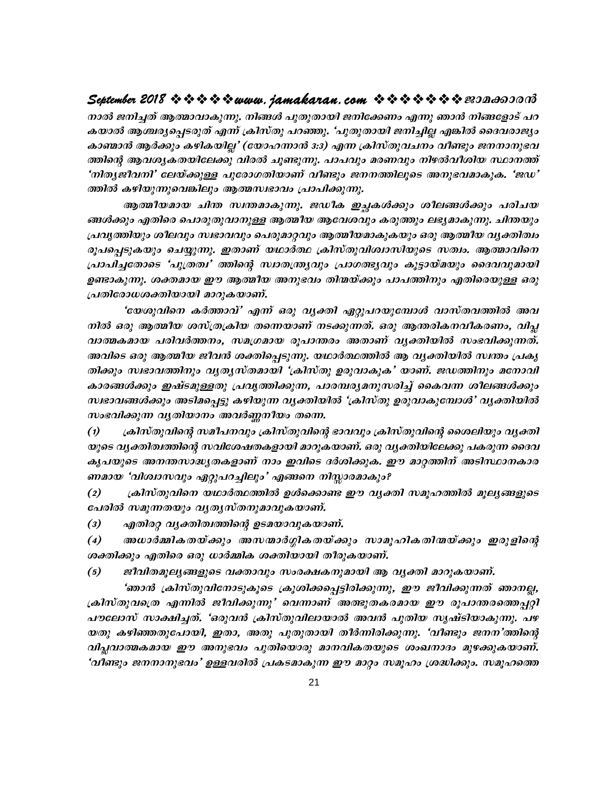#### September 2018  $\rightsquigarrow \rightsquigarrow \rightsquigarrow \rightsquigarrow www.$  jamakaran.com  $\rightsquigarrow \rightsquigarrow \rightsquigarrow \rightsquigarrow \rightsquigarrow www.$

നാൽ ജനിച്ചത് ആത്മാവാകുന്നു. നിങ്ങൾ പുതുതായി ജനിക്കേണം എന്നു ഞാൻ നിങ്ങളോട് പറ കയാൽ ആശ്ചര്യപ്പെടരുത് എന്ന് ക്രിസ്തു പറഞ്ഞു. 'പുതുതായി ജനിച്ചില്ല എങ്കിൽ ദൈവരാജ്യം കാണ്മാൻ ആർക്കും കഴികയില്ല' (യോഹന്നാൻ 3:3) എന്ന ക്രിസ്തുവചനം വീണ്ടും ജനനാനുഭവ ത്തിന്റെ ആവശ്യകതയിലേക്കു വിരൽ ചൂണ്ടുന്നു. പാപവും മരണവും നിഴൽവീശിയ സ്ഥാനത്ത് 'നിതൃജീവനി' ലേയ്ക്കുള്ള പുരോഗതിയാണ് വീണ്ടും ജനനത്തിലൂടെ അനുഭവമാകുക. 'ജഡ' ത്തിൽ കഴിയുന്നുവെങ്കിലും ആത്മസ്വഭാവം പ്രാപിക്കുന്നു.

ആത്മീയമായ ചിന്ത സ്ഥതമാകുന്നു. ജഡീക ഇച്ചകൾക്കും ശീലങ്ങൾക്കും പരിചയ ങ്ങൾക്കും എതിരെ പൊരുതുവാനുള്ള ആത്മീയ ആവേശവും കരുത്തും ലഭ്യമാകുന്നു. ചിന്തയും പ്രവൃത്തിയും ശീലവും സ്വഭാവവും പെരുമാറ്റവും ആത്മീയമാകുകയും ഒരു ആത്മീയ വൃക്തിത്വം രൂപപ്പെടുകയും ചെയ്യുന്നു. ഇതാണ് യഥാർത്ഥ ക്രിസ്തുവിശ്വാസിയുടെ സത്വം. ആത്മാവിനെ പ്രാപിച്ചതോടെ 'പുത്രത്വ' ത്തിന്റെ സ്വാതന്ത്ര്യവും പ്രാഗത്ഭ്യവും കൂട്ടായ്മയും ദൈവവുമായി ഉണ്ടാകുന്നു. ശക്തമായ ഈ ആത്മീയ അനുഭവം തിന്മയ്ക്കും പാപത്തിനും എതിരെയുള്ള ഒരു പ്രതിരോധശക്തിയായി മാറുകയാണ്.

'യേശുവിനെ കർത്താവ്' എന്ന് ഒരു വൃക്തി ഏറ്റുപറയുമ്പോൾ വാസ്തവത്തിൽ അവ നിൽ ഒരു ആത്മീയ ശസ്ത്രക്രിയ തന്നെയാണ് നടക്കുന്നത്. ഒരു ആന്തരികനവീകരണം, വിപ്ല വാത്മകമായ പരിവർത്തനം, സമഗ്രമായ രൂപാന്തരം അതാണ് വൃക്തിയിൽ സംഭവിക്കുന്നത്. അവിടെ ഒരു ആത്മീയ ജീവൻ ശക്തിപ്പെടുന്നു. യഥാർത്ഥത്തിൽ ആ വൃക്തിയിൽ സ്ഥതം പ്രകൃ തിക്കും സഭാവത്തിനും വൃതൃസ്തമായി 'ക്രിസ്തു ഉരുവാകുക' യാണ്. ജഡത്തിനും മനോവി കാരങ്ങൾക്കും ഇഷ്ടമുള്ളതു പ്രവൃത്തിക്കുന്ന, പാരമ്പര്യമനുസരിച്ച് കൈവന്ന ശീലങ്ങൾക്കും സ്വഭാവങ്ങൾക്കും അടിമപ്പെട്ടു കഴിയുന്ന വൃക്തിയിൽ 'ക്രിസ്തു ഉരുവാകുമ്പോൾ' വൃക്തിയിൽ സംഭവിക്കുന്ന വൃതിയാനം അവർണ്ണനീയം തന്നെ.

ക്രിസ്തുവിന്റെ സമീപനവും ക്രിസ്തുവിന്റെ ഭാവവും ക്രിസ്തുവിന്റെ ശൈലിയും വൃക്തി  $\left( \mathbf{1}\right)$ യുടെ വൃക്തിത്വത്തിന്റെ സവിശേഷതകളായി മാറുകയാണ്. ഒരു വൃക്തിയിലേക്കു പകരുന്ന ദൈവ കൃപയുടെ അനന്തസാദ്ധ്യതകളാണ് നാം ഇവിടെ ദർശിക്കുക. ഈ മാറ്റത്തിന് അടിസ്ഥാനകാര ണമായ 'വിശ്വാസവും ഏറ്റുപറച്ചിലും' എങ്ങനെ നിസ്സാരമാകും?

ക്രിസ്തുവിനെ യഥാർത്ഥത്തിൽ ഉൾക്കൊണ്ട ഈ വൃക്തി സമൂഹത്തിൽ മൂല്യങ്ങളുടെ  $(2)$ പേരിൽ സമുന്നതയും വൃതൃസ്തനുമാവുകയാണ്.

എതിരറ്റ വൃക്തിത്വത്തിന്റെ ഉടമയാവുകയാണ്.  $\left(3\right)$ 

 $\left( 4\right)$ അധാർമ്മികതയ്ക്കും അസന്മാർഗ്ഗികതയ്ക്കും സാമൂഹികതിന്മയ്ക്കും ഇരുളിന്റെ ശക്തിക്കും എതിരെ ഒരു ധാർമ്മിക ശക്തിയായി തീരുകയാണ്.

 $(5)$ ജീവിതമുല്യങ്ങളുടെ വക്താവും സംരക്ഷകനുമായി ആ വൃക്തി മാറുകയാണ്.

'ഞാൻ ക്രിസ്തുവിനോടുകൂടെ ക്രൂശിക്കപ്പെട്ടിരിക്കുന്നു, ഈ ജീവിക്കുന്നത് ഞാനല്ല, ക്രിസ്തുവത്രെ എന്നിൽ ജീവിക്കുന്നു' വെന്നാണ് അത്ഭുതകരമായ ഈ രൂപാന്തരത്തെപ്പറ്റി പൗലോസ് സാക്ഷിച്ചത്. 'ഒരുവൻ ക്രിസ്തുവിലായാൽ അവൻ പുതിയ സൃഷ്ടിയാകുന്നു. പഴ യതു കഴിഞ്ഞതുപോയി, ഇതാ, അതു പുതുതായി തീർന്നിരിക്കുന്നു. 'വീണ്ടും ജനന'ത്തിന്റെ വിപ്പവാത്മകമായ ഈ അനുഭവം പുതിയൊരു മാനവികതയുടെ ശംഖനാദം മുഴക്കുകയാണ്. 'വീണ്ടും ജനനാനുഭവം' ഉള്ളവരിൽ പ്രകടമാകുന്ന ഈ മാറ്റം സമൂഹം ശ്രദ്ധിക്കും. സമൂഹത്തെ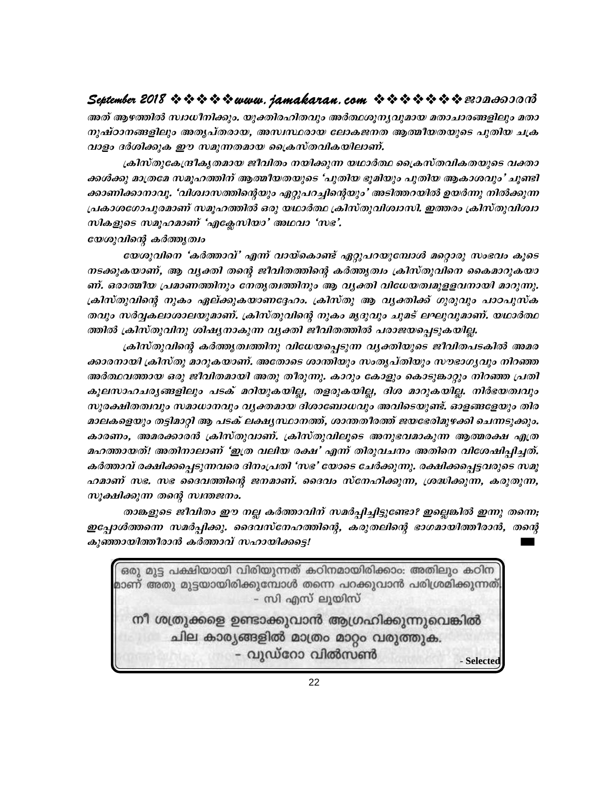#### 

അത് ആഴത്തിൽ സ്വാധീനിക്കും. യുക്തിരഹിതവും അർത്ഥശുനൃവുമായ മതാചാരങ്ങളിലും മതാ നുഷ്ഠാനങ്ങളിലും അതൃപ്തരായ, അസ്വസ്ഥരായ ലോകജനത ആത്മീയതയുടെ പുതിയ ചക്ര വാളം ദർശിക്കുക ഈ സമുന്നതമായ ക്രൈസ്തവികയിലാണ്.

ക്രിസ്തുകേന്ദ്രീകൃതമായ ജീവിതം നയിക്കുന്ന യഥാർത്ഥ ക്രൈസ്തവികതയുടെ വക്താ ക്കൾക്കു മാത്രമേ സമൂഹത്തിന് ആത്മീയതയുടെ 'പുതിയ ഭൂമിയും പുതിയ ആകാശവും' ചൂണ്ടി ക്കാണിക്കാനാവു. 'വിശ്വാസത്തിന്റെയും ഏറ്റുപറച്ചിന്റെയും' അടിത്തറയിൽ ഉയർന്നു നിൽക്കുന്ന പ്രകാശഗോപുരമാണ് സമൂഹത്തിൽ ഒരു യഥാർത്ഥ ക്രിസ്തുവിശ്വാസി. ഇത്തരം ക്രിസ്തുവിശ്വാ സികളുടെ സമൂഹമാണ് 'എക്ലേസിയാ' അഥവാ 'സഭ'.

#### യേശുവിന്റെ കർത്തൃത്വം

യേശുവിനെ 'കർത്താവ്' എന്ന് വായ്കൊണ്ട് ഏറ്റുപറയുമ്പോൾ മറ്റൊരു സംഭവം കൂടെ നടക്കുകയാണ്, ആ വ്യക്തി തന്റെ ജീവിതത്തിന്റെ കർത്തൃത്വം ക്രിസ്തുവിനെ കൈമാറുകയാ ണ്. ഒരാത്മീയ പ്രമാണത്തിനും നേതൃത്വത്തിനും ആ വൃക്തി വിധേയത്വമുളളവനായി മാറുന്നു. ക്രിസ്തുവിന്റെ നുകം ഏല്ക്കുകയാണദ്ദേഹം. ക്രിസ്തു ആ വൃക്തിക്ക് ഗുരുവും പാഠപുസ്ക തവും സർവ്വകലാശാലയുമാണ്. ക്രിസ്തുവിന്റെ നുകം മൃദുവും ചുമട് ലഘുവുമാണ്. യഥാർത്ഥ ത്തിൽ ക്രിസ്തുവിനു ശിഷ്യനാകുന്ന വ്യക്തി ജീവിതത്തിൽ പരാജയപ്പെടുകയില്ല.

ക്രിസ്തുവിന്റെ കർത്തുത്വത്തിനു വിധേയപ്പെടുന്ന വൃക്തിയുടെ ജീവിതപടകിൽ അമര ക്കാരനായി ക്രിസ്തു മാറുകയാണ്. അതോടെ ശാന്തിയും സംതൃപ്തിയും സൗഭാഗൃവും നിറഞ്ഞ അർത്ഥവത്തായ ഒരു ജീവിതമായി അതു തീരുന്നു. കാറും കോളും കൊടുങ്കാറ്റും നിറഞ്ഞ പ്രതി കൂലസാഹചര്യങ്ങളിലും പടക് മറിയുകയില്ല, തളരുകയില്ല, ദിശ മാറുകയില്ല. നിർഭയത്വവും സുരക്ഷിതത്വവും സമാധാനവും വൃക്തമായ ദിശാബോധവും അവിടെയുണ്ട്. ഓളങ്ങളേയും തിര മാലകളെയും തട്ടിമാറ്റി ആ പടക് ലക്ഷ്യസ്ഥാനത്ത്, ശാന്തതീരത്ത് ജയഭേരിമുഴക്കി ചെന്നടുക്കും. കാരണം, അമരക്കാരൻ ക്രിസ്തുവാണ്. ക്രിസ്തുവിലൂടെ അനുഭവമാകുന്ന ആത്മരക്ഷ എത്ര മഹത്തായത്! അതിനാലാണ് 'ഇത്ര വലിയ രക്ഷ' എന്ന് തിരുവചനം അതിനെ വിശേഷിപ്പിച്ചത്. കർത്താവ് രക്ഷിക്കപ്പെടുന്നവരെ ദിനംപ്രതി 'സഭ' യോടെ ചേർക്കുന്നു. രക്ഷിക്കപ്പെട്ടവരുടെ സമൂ ഹമാണ് സഭ. സഭ ദൈവത്തിന്റെ ജനമാണ്. ദൈവം സ്നേഹിക്കുന്ന, ശ്രദ്ധിക്കുന്ന, കരുതുന്ന, സുക്ഷിക്കുന്ന തന്റെ സ്വന്തജനം.

താങ്കളുടെ ജീവിതം ഈ നല്ല കർത്താവിന് സമർച്ചിച്ചിട്ടുണ്ടോ? ഇല്ലെങ്കിൽ ഇന്നു തന്നെ; ഇപ്പോൾത്തന്നെ സമർപ്പിക്കു. ദൈവസ്നേഹത്തിന്റെ, കരുതലിന്റെ ഭാഗമായിത്തീരാൻ, തന്റെ കുഞ്ഞായിത്തീരാൻ കർത്താവ് സഹായിക്കട്ടെ!

ഒരു മുട്ട പക്ഷിയായി വിരിയുന്നത് കഠിനമായിരിക്കാം: അതിലും കഠിന മാണ് അതു മുട്ടയായിരിക്കുമ്പോൾ തന്നെ പറക്കുവാൻ പരിശ്രമിക്കുന്നത്. – സി എസ് ലൂയിസ്

നീ ശത്രുക്കളെ ഉണ്ടാക്കുവാൻ ആഗ്രഹിക്കുന്നുവെങ്കിൽ ചില കാര്യങ്ങളിൽ മാത്രം മാറ്റം വരുത്തുക. - വുഡ്റോ വിൽസൺ - Selected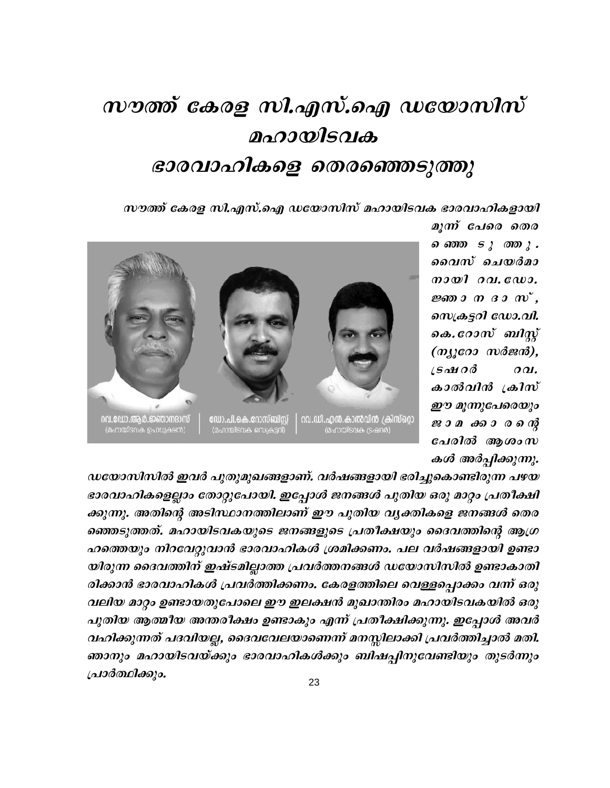# സൗത്ത് കേരള സി.എസ്.ഐ ഡയോസിസ് മഹായിടവക ഭാരവാഹികളെ തെരഞ്ഞെടുത്തു

സൗത്ത് കേരള സി.എസ്.ഐ ഡയോസിസ് മഹായിടവക ഭാരവാഹികളായി



മുന്ന് പേരെ തെര *വൈസ ടുത്തു.* വൈസ് ചെയർമാ  $m$ ജ്ഞാനദാസ്, സെക്രട്ടറി ഡോ.വി. കെ.റോസ് ബിസ്റ്റ്  $(n_{j}$ coo wdend).  $\angle$ Solu $\partial$ d  $OQL$ കാൽവിൻ ക്രിസ് ഈ മൂന്നുപേരെയും ജാമക്കാരത്തു് പേരിൽ ആശംസ കൾ അർപ്പിക്കുന്നു.

ഡയോസിസിൽ ഇവർ പുതുമുഖങ്ങളാണ്. വർഷങ്ങളായി ഭരിച്ചുകൊണ്ടിരുന്ന പഴയ ഭാരവാഹികളെല്ലാം തോറ്റുപോയി. ഇപ്പോൾ ജനങ്ങൾ പുതിയ ഒരു മാറ്റം പ്രതീക്ഷി ക്കുന്നു. അതിന്റെ അടിസ്ഥാനത്തിലാണ് ഈ പുതിയ വൃക്തികളെ ജനങ്ങൾ തെര ഞ്ഞെടുത്തത്. മഹായിടവകയുടെ ജനങ്ങളുടെ പ്രതീക്ഷയും ദൈവത്തിന്റെ ആഗ്ര ഹത്തെയും നിറവേറ്റുവാൻ ഭാരവാഹികൾ ശ്രമിക്കണം. പല വർഷങ്ങളായി ഉണ്ടാ യിരുന്ന ദൈവത്തിന് ഇഷ്ടമില്ലാത്ത പ്രവർത്തനങ്ങൾ ഡയോസിസിൽ ഉണ്ടാകാതി രിക്കാൻ ഭാരവാഹികൾ പ്രവർത്തിക്കണം. കേരളത്തിലെ വെള്ളപ്പൊക്കം വന്ന് ഒരു വലിയ മാറ്റം ഉണ്ടായതുപോലെ ഈ ഇലക്ഷൻ മുഖാന്തിരം മഹായിടവകയിൽ ഒരു പുതിയ ആത്മീയ അന്തരീക്ഷം ഉണ്ടാകും എന്ന് പ്രതീക്ഷിക്കുന്നു. ഇപ്പോൾ അവർ വഹിക്കുന്നത് പദവിയല്ല, ദൈവവേലയാണെന്ന് മനസ്സിലാക്കി പ്രവർത്തിച്ചാൽ മതി. ഞാനും മഹായിടവയ്ക്കും ഭാരവാഹികൾക്കും ബിഷപ്പിനുവേണ്ടിയും തുടർന്നും പ്രാർത്ഥിക്കും.